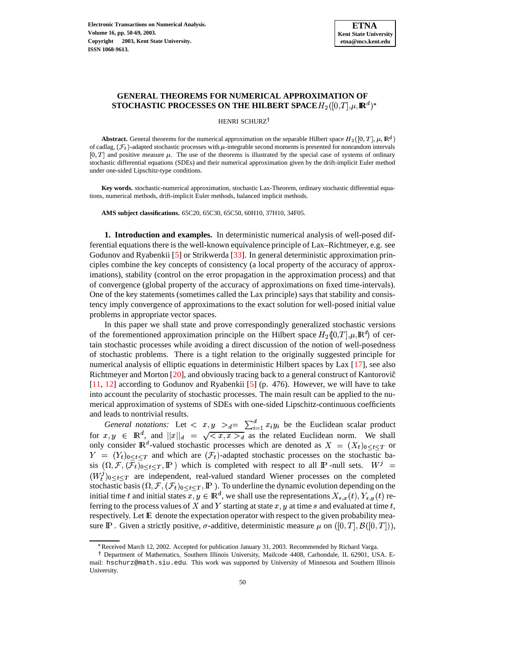# **GENERAL THEOREMS FOR NUMERICAL APPROXIMATION OF** STOCHASTIC PROCESSES ON THE HILBERT SPACE  $H_2([0,T],\mu,\mathbf{R}^d)^*$

HENRI SCHURZ<sup>†</sup>

**Abstract.** General theorems for the numerical approximation on the separable Hilbert space  $H_2([0,T], \mu, \mathbb{R}^d)$ of cadlag,  $(\mathcal{F}_t)$ -adapted stochastic processes with  $\mu$ -integrable second moments is presented for nonrandom intervals  $[0, T]$  and positive measure  $\mu$ . The use of the theorems is illustrated by the special case of systems of ordinary stochastic differential equations (SDEs) and their numerical approximation given by the drift-implicit Euler method under one-sided Lipschitz-type conditions.

**Key words.** stochastic-numerical approximation, stochastic Lax-Theorem, ordinary stochastic differential equations, numerical methods, drift-implicit Euler methods, balanced implicit methods.

**AMS subject classifications.** 65C20, 65C30, 65C50, 60H10, 37H10, 34F05.

**1. Introduction and examples.** In deterministic numerical analysis of well-posed differential equations there is the well-known equivalence principle of Lax–Richtmeyer, e.g. see Godunov and Ryabenkii [\[5\]](#page-18-0) or Strikwerda [\[33\]](#page-19-0). In general deterministic approximation principles combine the key concepts of consistency (a local property of the accuracy of approximations), stability (control on the error propagation in the approximation process) and that of convergence (global property of the accuracy of approximations on fixed time-intervals). One of the key statements (sometimes called the Lax principle) says that stability and consistency imply convergence of approximations to the exact solution for well-posed initial value problems in appropriate vector spaces.

In this paper we shall state and prove correspondingly generalized stochastic versions of the forementioned approximation principle on the Hilbert space  $H_2(0,T], \mu, \mathbb{R}^d$  of certain stochastic processes while avoiding a direct discussion of the notion of well-posedness of stochastic problems. There is a tight relation to the originally suggested principle for numerical analysis of elliptic equations in deterministic Hilbert spaces by Lax [\[17\]](#page-18-1), see also Richtmeyer and Morton  $[20]$ , and obviously tracing back to a general construct of Kantorovič [\[11,](#page-18-3) [12\]](#page-18-4) according to Godunov and Ryabenkii [\[5\]](#page-18-0) (p. 476). However, we will have to take into account the pecularity of stochastic processes. The main result can be applied to the numerical approximation of systems of SDEs with one-sided Lipschitz-continuous coefficients and leads to nontrivial results.

*General notations:* Let  $\langle x, y \rangle_{d} = \sum_{i=1}^{a} x_i y_i$  be the Euclidean scalar product for  $x, y \in \mathbb{R}^d$ , and  $||x||_d = \sqrt{\langle x, x \rangle_d}$  as the related Euclidean norm. We shall only consider  $\mathbb{R}^d$ -valued stochastic processes which are denoted as  $X = (X_t)_{0 \leq t \leq T}$  or  $Y = (Y_t)_{0 \le t \le T}$  and which are  $(\mathcal{F}_t)$ -adapted stochastic processes on the stochastic basis  $(\Omega, \mathcal{F}, (\mathcal{F}_t)_{0 \le t \le T}, \mathbb{P})$  which is completed with respect to all P-null sets.  $W^j =$  $(W_t^j)_{0 \leq t \leq T}$  are independent, real-valued standard Wiener processes on the completed stochastic basis  $(\Omega, \mathcal{F}, (\mathcal{F}_t)_{0 \leq t \leq T}, \mathbb{P})$ . To underline the dynamic evolution depending on the initial time t and initial states  $x, y \in \mathbb{R}^d$ , we shall use the representations  $X_{s,x}(t), Y_{s,y}(t)$  referring to the process values of X and Y starting at state  $x, y$  at time s and evaluated at time t, respectively. Let E denote the expectation operator with respect to the given probability measure  $\mathbb P$ . Given a strictly positive,  $\sigma$ -additive, deterministic measure  $\mu$  on  $([0,T], \mathcal B([0,T]),$ 

<sup>\*</sup> Received March 12, 2002. Accepted for publication January 31, 2003. Recommended by Richard Varga.

Department of Mathematics, Southern Illinois University, Mailcode 4408, Carbondale, IL 62901, USA. Email: hschurz@math.siu.edu. This work was supported by University of Minnesota and Southern Illinois University.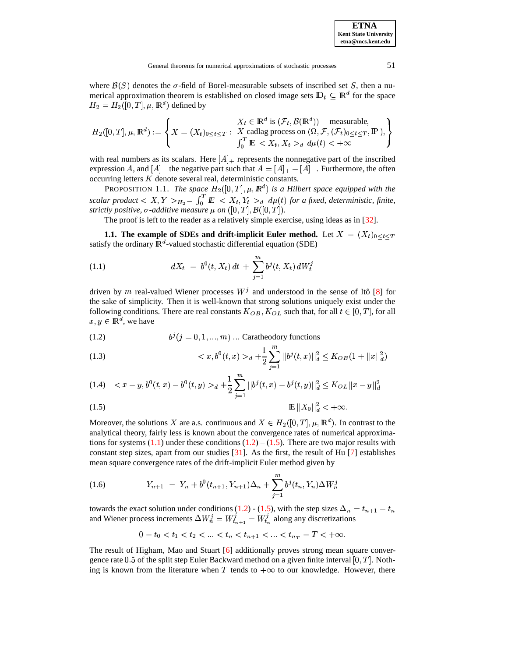where  $\mathcal{B}(S)$  denotes the  $\sigma$ -field of Borel-measurable subsets of inscribed set S, then a numerical approximation theorem is established on closed image sets  $\mathbb{D}_t \subseteq \mathbb{R}^d$  for the space  $H_2 = H_2([0, T], \mu, \mathbb{R}^d)$  defined by

$$
H_2([0,T], \mu, \mathbb{R}^d) := \left\{ X = (X_t)_{0 \le t \le T} : \begin{array}{l} X_t \in \mathbb{R}^d \text{ is } (\mathcal{F}_t, \mathcal{B}(\mathbb{R}^d)) - \text{measurable,} \\ X \text{ cadlag process on } (\Omega, \mathcal{F}, (\mathcal{F}_t)_{0 \le t \le T}, \mathbb{P}'), \\ \int_0^T \mathbb{E} < X_t, X_t >_d d\mu(t) < +\infty \end{array} \right\}
$$

with real numbers as its scalars. Here  $[A]_+$  represents the nonnegative part of the inscribed expression A, and  $[A]$  – the negative part such that  $A = [A]_+ - [A]_-$ . Furthermore, the often  $occuring$  letters  $K$  denote several real, deterministic constants.

PROPOSITION 1.1. *The space*  $H_2([0,T], \mu, \mathbb{R}^d)$  is a Hilbert space equipped with the *scalar product*  $\lt X, Y >_{H_2} = \int_0^1 E$ <sup>5</sup>  $\int_0^1 E \, \langle X_t, Y_t \rangle_d \, d\mu(t)$  for a fixed, deterministic, finite, strictly positive,  $\sigma$ -additive measure  $\mu$  on  $([0,T],\mathcal{B}([0,T]).$ 

The proof is left to the reader as a relatively simple exercise, using ideas as in [\[32\]](#page-19-1).

**1.1.** The example of SDEs and drift-implicit Euler method. Let  $X = (X_t)_{0 \le t \le T}$ satisfy the ordinary  $\mathbb{R}^d$ -valued stochastic differential equation (SDE)

<span id="page-1-0"></span>(1.1) 
$$
dX_t = b^0(t, X_t) dt + \sum_{j=1}^m b^j(t, X_t) dW_t^j
$$

driven by m real-valued Wiener processes  $W<sup>j</sup>$  and understood in the sense of Itô [\[8\]](#page-18-5) for the sake of simplicity. Then it is well-known that strong solutions uniquely exist under the following conditions. There are real constants  $K_{OB}$ ,  $K_{OL}$  such that, for all  $t \in [0, T]$ , for all  $x,y \in \mathbb{R}^d$ , we have

<span id="page-1-1"></span>(1.2) 
$$
b^{j}(j = 0, 1, ..., m) \dots \text{Carathedory functions}
$$

(1.3) 
$$
\langle x, b^0(t,x) \rangle_d + \frac{1}{2} \sum_{j=1}^m ||b^j(t,x)||_d^2 \leq K_{OB}(1 + ||x||_d^2)
$$

$$
(1.4) \quad _d+\frac{1}{2}\sum_{j=1}^m||b^j(t,x)-b^j(t,y)||_d^2\leq K_{OL}||x-y||_d^2
$$

$$
\mathbb{E} \left\|X_0\right\|_d^2 < +\infty.
$$

Moreover, the solutions X are a.s. continuous and  $X \in H_2([0,T], \mu, \mathbb{R}^d)$ . In contrast to the analytical theory, fairly less is known about the convergence rates of numerical approximations for systems  $(1.1)$  under these conditions  $(1.2) - (1.5)$  $(1.2) - (1.5)$  $(1.2) - (1.5)$ . There are two major results with constant step sizes, apart from our studies  $\lceil 31 \rceil$ . As the first, the result of Hu  $\lceil 7 \rceil$  establishes mean square convergence rates of the drift-implicit Euler method given by

<span id="page-1-2"></span>(1.6) 
$$
Y_{n+1} = Y_n + b^0(t_{n+1}, Y_{n+1})\Delta_n + \sum_{j=1}^m b^j(t_n, Y_n)\Delta W_n^j
$$

towards the exact solution under conditions [\(1.2\)](#page-1-1) - [\(1.5\)](#page-1-1), with the step sizes  $\Delta_n = t_{n+1} - t_n$  $= t_{n+1} - t_n$ and Wiener process increments  $\Delta W_n^j = W_{t_{n+1}}^j - W_{t_n}^j$  along any discretizations

$$
0 = t_0 < t_1 < t_2 < \ldots < t_n < t_{n+1} < \ldots < t_{n_T} = T < +\infty.
$$

The result of Higham, Mao and Stuart [\[6\]](#page-18-7) additionally proves strong mean square convergence rate 0.5 of the split step Euler Backward method on a given finite interval  $[0, T]$ . Nothing is known from the literature when T tends to  $+\infty$  to our knowledge. However, there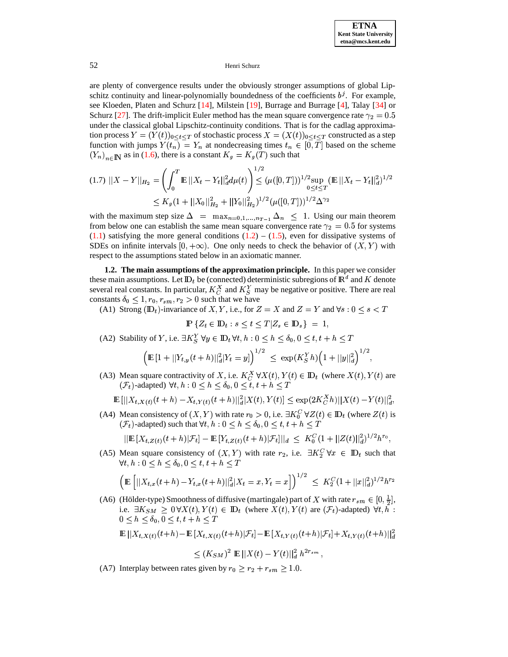are plenty of convergence results under the obviously stronger assumptions of global Lipschitz continuity and linear-polynomially boundedness of the coefficients  $b^j$ . For example, see Kloeden, Platen and Schurz [\[14\]](#page-18-8), Milstein [\[19\]](#page-18-9), Burrage and Burrage [\[4\]](#page-18-10), Talay [\[34\]](#page-19-3) or Schurz [\[27\]](#page-19-4). The drift-implicit Euler method has the mean square convergence rate  $\gamma_2 = 0.5$ <sup>5</sup> under the classical global Lipschitz-continuity conditions. That is for the cadlag approximation process  $Y = (Y(t))_{0 \le t \le T}$  of stochastic process  $X = (X(t))_{0 \le t \le T}$  constructed as a step function with jumps  $Y(t_n) = Y_n$  at nondecreasing times  $t_n \in [0, T]$  based on the scheme  $(Y_n)_{n \in \mathbb{N}}$  as in [\(1.6\)](#page-1-2), there is a constant  $K_g = K_g(T)$  such that

$$
(1.7)\ ||X - Y||_{H_2} = \left(\int_0^T \mathbb{E}||X_t - Y_t||_d^2 d\mu(t)\right)^{1/2} \leq (\mu([0, T]))^{1/2} \sup_{0 \leq t \leq T} (\mathbb{E}||X_t - Y_t||_d^2)^{1/2}
$$
  
 
$$
\leq K_g (1 + ||X_0||_{H_2}^2 + ||Y_0||_{H_2}^2)^{1/2} (\mu([0, T]))^{1/2} \Delta^{\gamma_2}
$$

with the maximum step size  $\Delta = \max_{n=0,1,...,n} \Delta_n \leq 1$ . Using our main theorem from below one can establish the same mean square convergence rate  $\gamma_2 = 0.5$  for systems  $(1.1)$  satisfying the more general conditions  $(1.2) - (1.5)$  $(1.2) - (1.5)$  $(1.2) - (1.5)$ , even for dissipative systems of SDEs on infinite intervals  $[0, +\infty)$ . One only needs to check the behavior of  $(X, Y)$  with respect to the assumptions stated below in an axiomatic manner.

**1.2. The main assumptions of the approximation principle.** In this paper we consider these main assumptions. Let  $\mathbb{D}_t$  be (connected) deterministic subregions of  $\mathbb{R}^d$  and  $K$  denote several real constants. In particular,  $K_C^X$  and  $K_S^Y$  may be negative or positive. There are real constants  $\delta_0 \leq 1, r_0, r_{sm}, r_2 > 0$  such that we have<br>(A1) Strong (ID<sub>t</sub>)-invariance of X, Y, i.e., for 2

(A1) Strong ( $\mathbb{D}_t$ )-invariance of X, Y, i.e., for  $Z = X$  and  $Z = Y$  and  $\forall s : 0 \le s < T$ 

$$
\mathbb{P}\left\{Z_t \in \mathbb{D}_t : s \le t \le T | Z_s \in \mathbb{D}_s\right\} = 1,
$$

(A2) Stability of Y, i.e.  $\exists K_S^Y \forall y \in \mathbb{D}_t \forall t, h: 0 \leq h \leq \delta_0, 0 \leq t, t + h \leq T$ 

$$
\Big(\mathop{\mathrm{I\!E}}\nolimits\,[1+||Y_{t,y}(t+h)||_d^2|Y_t=y|\Big)^{1/2}\ \le\ \exp(K_S^Y h)\Big(1+||y||_d^2\Big)^{1/2},
$$

(A3) Mean square contractivity of X, i.e.  $K_C^X \forall X(t), Y(t) \in \mathbb{D}_t$  (where  $X(t), Y(t)$  are  $(\mathcal{F}_t)$ -adapted)  $\forall t, h : 0 \leq h \leq \delta_0, 0 \leq t, t + h \leq T$ 

$$
\mathbb{E} \left[ ||X_{t,X(t)}(t+h) - X_{t,Y(t)}(t+h)||_d^2 |X(t),Y(t)| \leq \exp(2K_C^X h) ||X(t) - Y(t)||_d^2,
$$

(A4) Mean consistency of  $(X, Y)$  with rate  $r_0 > 0$ , i.e.  $\exists K_0^C \forall Z(t) \in \mathbb{D}_t$  (where  $Z(t)$  is  $(\mathcal{F}_t)$ -adapted) such that  $\forall t, h: 0 \leq h \leq \delta_0, 0 \leq t, t + h \leq T$ 

$$
||\mathbf{E}[X_{t,Z(t)}(t+h)|\mathcal{F}_t] - \mathbf{E}[Y_{t,Z(t)}(t+h)|\mathcal{F}_t]||_d \leq K_0^C (1+||Z(t)||_d^2)^{1/2} h^{r_0},
$$

(A5) Mean square consistency of  $(X, Y)$  with rate  $r_2$ , i.e.  $\exists K_2^C \forall x \in D_t$  such that  $\forall t, h: 0 \leq h \leq \delta_0, 0 \leq t, t + h \leq T$ 

$$
\left(\mathbb{E}\left[||X_{t,x}(t+h)-Y_{t,x}(t+h)||_d^2|X_t=x,Y_t=x\right]\right)^{1/2} \leq K_2^C(1+||x||_d^2)^{1/2}h^{r_2}
$$

(A6) (Hölder-type) Smoothness of diffusive (martingale) part of X with rate  $r_{sm} \in [0, \frac{1}{2}]$ , i.e.  $\exists K_{SM} \geq 0 \forall X(t), Y(t) \in \mathbb{D}_t$  (where  $X(t), Y(t)$  are  $(\mathcal{F}_t)$ -adapted)  $\forall t, h$ :  $0 \leq h \leq \delta_0, 0 \leq t, t + h \leq T$ 

$$
\mathbb{E} \left|\left|X_{t,X(t)}(t+h) - \mathbb{E}\left[X_{t,X(t)}(t+h)|\mathcal{F}_t\right] - \mathbb{E}\left[X_{t,Y(t)}(t+h)|\mathcal{F}_t\right] + X_{t,Y(t)}(t+h)\right|\right|_d^2
$$

$$
\leq (K_{SM})^2 \, \, \mathop{\mathrm{I\!E}}\nolimits ||X(t)-Y(t)||^2_d \,\, h^{2r_{sm}} \, ,
$$

(A7) Interplay between rates given by  $r_0 \ge r_2 + r_{sm} \ge 1.0$ .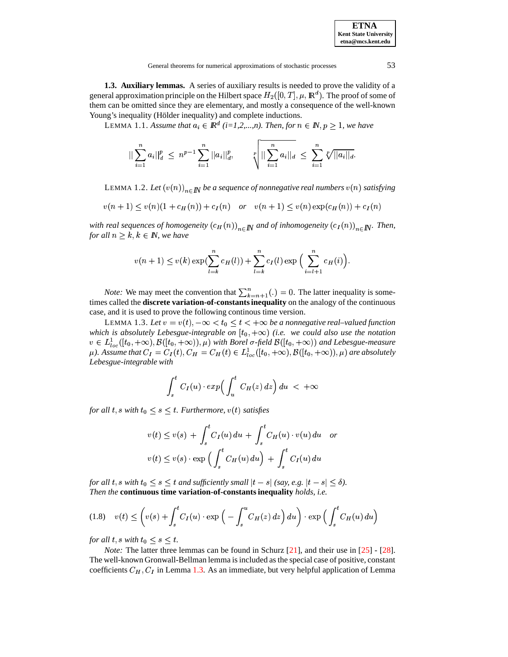| <b>ETNA</b>                  |
|------------------------------|
| <b>Kent State Universitv</b> |
| etna@mcs.kent.edu            |

<span id="page-3-2"></span>1.3. Auxiliary lemmas. A series of auxiliary results is needed to prove the validity of a general approximation principle on the Hilbert space  $H_2([0,T], \mu, \mathbb{R}^d)$ . The proof of some of them can be omitted since they are elementary, and mostly a consequence of the well-known Young's inequality (Hölder inequality) and complete inductions.

LEMMA 1.1. Assume that  $a_i \in \mathbb{R}^d$  (i=1,2,...,n). Then, for  $n \in \mathbb{N}, p \ge 1$ , we have

$$
\|\sum_{i=1}^n a_i\|_{d}^p \leq n^{p-1} \sum_{i=1}^n ||a_i||_{d}^p, \qquad \sqrt[p]{\| \sum_{i=1}^n a_i \|_{d}} \leq \sum_{i=1}^n \sqrt[p]{\|a_i\|_{d}}.
$$

LEMMA 1.2. Let  $(v(n))_{n \in \mathbb{N}}$  be a sequence of nonnegative real numbers  $v(n)$  satisfying

$$
v(n + 1) \le v(n)(1 + c_H(n)) + c_I(n) \quad or \quad v(n + 1) \le v(n) \exp(c_H(n)) + c_I(n)
$$

with real sequences of homogeneity  $(c_H(n))_{n \in \mathbb{N}}$  and of inhomogeneity  $(c_I(n))_{n \in \mathbb{N}}$ . Then, for all  $n \geq k, k \in \mathbb{N}$ , we have

$$
v(n + 1) \le v(k) \exp(\sum_{l=k}^{n} c_H(l)) + \sum_{l=k}^{n} c_I(l) \exp\left(\sum_{i=l+1}^{n} c_H(i)\right).
$$

*Note:* We may meet the convention that  $\sum_{k=n+1}^{n}(.) = 0$ . The latter inequality is sometimes called the **discrete variation-of-constants inequality** on the analogy of the continuous case, and it is used to prove the following continous time version.

<span id="page-3-0"></span>LEMMA 1.3. Let  $v = v(t)$ ,  $-\infty < t_0 \le t < +\infty$  be a nonnegative real-valued function which is absolutely Lebesgue-integrable on  $[t_0, +\infty)$  (i.e. we could also use the notation  $v \in L^1_{loc}([t_0, +\infty), \mathcal{B}([t_0, +\infty)), \mu)$  with Borel  $\sigma$ -field  $\mathcal{B}([t_0, +\infty))$  and Lebesgue-measure  $\mu$ ). Assume that  $C_I = C_I(t)$ ,  $C_H = C_H(t) \in L^1_{loc}([t_0, +\infty), \mathcal{B}([t_0, +\infty)), \mu)$  are absolutely Lebesgue-integrable with

$$
\int_s^t C_I(u) \cdot exp\left(\int_u^t C_H(z) dz\right) du < +\infty
$$

for all t, s with  $t_0 \leq s \leq t$ . Furthermore,  $v(t)$  satisfies

$$
v(t) \le v(s) + \int_s^t C_I(u) du + \int_s^t C_H(u) \cdot v(u) du
$$
  

$$
v(t) \le v(s) \cdot \exp\left(\int_s^t C_H(u) du\right) + \int_s^t C_I(u) du
$$

for all t, s with  $t_0 \leq s \leq t$  and sufficiently small  $|t - s|$  (say, e.g.  $|t - s| \leq \delta$ ). Then the continuous time variation-of-constants inequality holds, i.e.

<span id="page-3-1"></span>
$$
(1.8) \quad v(t) \le \left(v(s) + \int_s^t C_I(u) \cdot \exp\left(-\int_s^u C_H(z) \, dz\right) du\right) \cdot \exp\left(\int_s^t C_H(u) \, du\right)
$$

for all t, s with  $t_0 \leq s \leq t$ .

*Note:* The latter three lemmas can be found in Schurz  $[21]$ , and their use in  $[25]$  -  $[28]$ . The well-known Gronwall-Bellman lemma is included as the special case of positive, constant coefficients  $C_H$ ,  $C_I$  in Lemma 1.3. As an immediate, but very helpful application of Lemma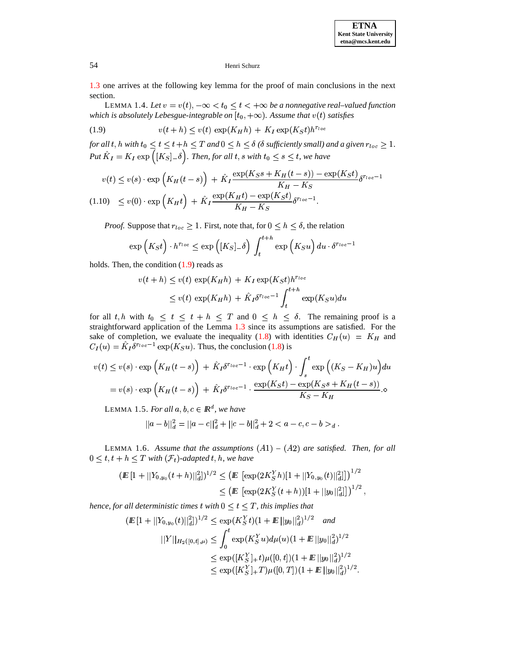**ETNA Kent State University etna@mcs.kent.edu**

## 54 Henri Schurz

<span id="page-4-1"></span>[1.3](#page-3-0) one arrives at the following key lemma for the proof of main conclusions in the next section.

LEMMA 1.4. Let  $v = v(t)$ ,  $-\infty < t_0 \le t < +\infty$  be a nonnegative real–valued function which is absolutely Lebesgue-integrable on  $[t_0, +\infty)$ . Assume that  $v(t)$  satisfies

<span id="page-4-0"></span>(1.9)  $v(t+h) \leq v(t) \exp(K_H h) + K_I \exp(K_S t) h^{r_{loc}}$ 

for all t, h with  $t_0 \le t \le t + h \le T$  and  $0 \le h \le \delta$  ( $\delta$  sufficiently small) and a given  $r_{loc} \ge 1$ .  $Put \ \hat{K}_I = K_I \exp\left([K_S]_-\delta\right).$  Then, for all  $t,s$  with  $t_0 \leq s \leq$  $\left([K_S]_-\delta\right)$ . Then, for all  $t,s$  with  $t_0\leq s\leq t$ , we have

<span id="page-4-4"></span>
$$
v(t) \le v(s) \cdot \exp\left(K_H(t-s)\right) + \hat{K}_I \frac{\exp(K_S s + K_H(t-s)) - \exp(K_S t)}{K_H - K_S} \delta^{r_{loc}-1}
$$
  
(1.10) 
$$
\le v(0) \cdot \exp\left(K_H t\right) + \hat{K}_I \frac{\exp(K_H t) - \exp(K_S t)}{K_H - K_S} \delta^{r_{loc}-1}.
$$

*Proof.* Suppose that  $r_{loc} \geq 1$ . First, note that, for  $0 \leq h \leq \delta$ , the relation

$$
\exp\left(K_S t\right) \cdot h^{r_{loc}} \le \exp\left([K_S]_-\delta\right) \int_t^{t+h} \exp\left(K_S u\right) du \cdot \delta^{r_{loc}-1}
$$

holds. Then, the condition  $(1.9)$  reads as

**1999 1999 1999 1999** 

$$
v(t+h) \le v(t) \exp(K_H h) + K_I \exp(K_S t) h^{r_{loc}}
$$
  
 
$$
\le v(t) \exp(K_H h) + \hat{K}_I \delta^{r_{loc}-1} \int_t^{t+h} \exp(K_S u) du
$$

for all t, h with  $t_0 \leq t \leq t + h \leq T$  and  $0 \leq h \leq \delta$ . The remaining proof is a straightforward application of the Lemma [1.3](#page-3-0) since its assumptions are satisfied. For the sake of completion, we evaluate the inequality [\(1.8\)](#page-3-1) with identities  $C_H(u) = K_H$  and  $C_I(u) = \hat{K}_I \delta^{r_{loc}-1} \exp(K_S u)$ . Thus, the conclusion [\(1.8\)](#page-3-1) is

<span id="page-4-3"></span>
$$
v(t) \le v(s) \cdot \exp\left(K_H(t-s)\right) + \hat{K}_I \delta^{r_{loc}-1} \cdot \exp\left(K_H t\right) \cdot \int_s^t \exp\left((K_S - K_H)u\right) du
$$
  
=  $v(s) \cdot \exp\left(K_H(t-s)\right) + \hat{K}_I \delta^{r_{loc}-1} \cdot \frac{\exp(K_S t) - \exp(K_S s + K_H(t-s))}{K_S - K_H}.$ 

LEMMA 1.5. *For all*  $a, b, c \in \mathbb{R}^d$ , we have

$$
||a-b||_d^2 = ||a-c||_d^2 + ||c-b||_d^2 + 2 < a - c, c - b >_d.
$$

<span id="page-4-2"></span>LEMMA 1.6. Assume that the assumptions  $(A1) - (A2)$  are satisfied. Then, for all  $0 \leq t, t + h \leq T$  with  $(\mathcal{F}_t)$ -adapted t, h, we have

$$
\begin{aligned} (I\!\!E\,[1+||Y_{0,y_0}(t+h)||_d^2])^{1/2} &\leq \bigl(I\!\!E\,\left[\exp(2K_S^Y h)[1+||Y_{0,y_0}(t)||_d^2]\right]\bigr)^{1/2}\\ &\leq \bigl(I\!\!E\,\left[\exp(2K_S^Y(t+h))[1+||y_0||_d^2]\right]\bigr)^{1/2}\,, \end{aligned}
$$

hence, for all deterministic times  $t$  with  $0 \le t \le T$  , this implies that

$$
\begin{aligned} (I\!\!E\,[1+||Y_{0,y_0}(t)||_d^2])^{1/2} &\leq \exp(K_S^Yt)(1+I\!\!E\,||y_0||_d^2)^{1/2} \quad and \\ &||Y||_{H_2([0,t],\mu)} \leq \int_0^t \exp(K_S^Yu)d\mu(u)(1+I\!\!E\,||y_0||_d^2)^{1/2} \\ &\leq \exp([K_S^Y]_+t)\mu([0,t])(1+I\!\!E\,||y_0||_d^2)^{1/2} \\ &\leq \exp([K_S^Y]_+T)\mu([0,T])(1+I\!\!E\,||y_0||_d^2)^{1/2} . \end{aligned}
$$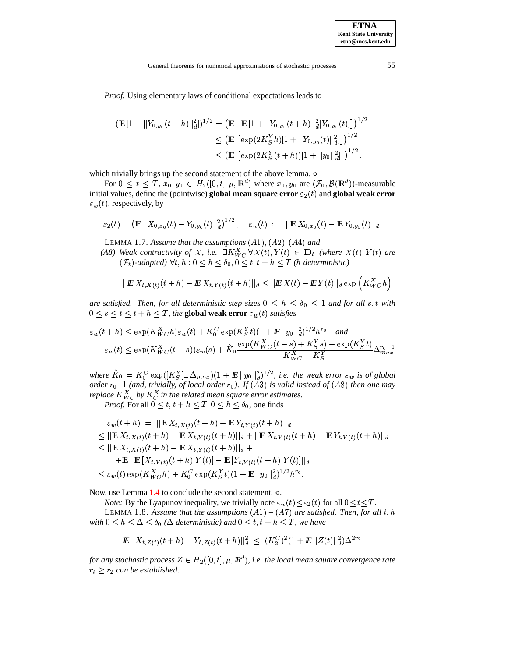Proof. Using elementary laws of conditional expectations leads to

$$
\begin{aligned} \left(\mathbb{E}\left[1+||Y_{0,y_0}(t+h)||_d^2\right]\right)^{1/2} &= \left(\mathbb{E}\left[\mathbb{E}\left[1+||Y_{0,y_0}(t+h)||_d^2|Y_{0,y_0}(t)|\right]\right]\right)^{1/2} \\ &\le \left(\mathbb{E}\left[\exp(2K_S^Y h)[1+||Y_{0,y_0}(t)||_d^2]\right]\right)^{1/2} \\ &\le \left(\mathbb{E}\left[\exp(2K_S^Y (t+h))[1+||y_0||_d^2]\right]\right)^{1/2}, \end{aligned}
$$

which trivially brings up the second statement of the above lemma.  $\diamond$ 

For  $0 \leq t \leq T$ ,  $x_0, y_0 \in H_2([0, t], \mu, \mathbb{R}^d)$  where  $x_0, y_0$  are  $(\mathcal{F}_0, \mathcal{B}(\mathbb{R}^d))$ -measurable initial values, define the (pointwise) global mean square error  $\varepsilon_2(t)$  and global weak error  $\varepsilon_w(t)$ , respectively, by

$$
\varepsilon_2(t) = \left( \mathbb{E} \left| \left| X_{0,x_0}(t) - Y_{0,y_0}(t) \right| \right|^2_d \right)^{1/2}, \quad \varepsilon_w(t) := \left| \left| \mathbb{E} \, X_{0,x_0}(t) - \mathbb{E} \, Y_{0,y_0}(t) \right| \right|_d
$$

LEMMA 1.7. Assume that the assumptions  $(A1), (A2), (A4)$  and

(A8) Weak contractivity of X, i.e.  $\exists K_{WC}^X \forall X(t), Y(t) \in \mathbb{D}_t$  (where  $X(t), Y(t)$  are  $(\mathcal{F}_t)$ -adapted)  $\forall t, h: 0 \leq h \leq \delta_0, 0 \leq t, t + h \leq T$  (*h* deterministic)

$$
||E X_{t,X(t)}(t+h) - E X_{t,Y(t)}(t+h)||_d \leq ||E X(t) - E Y(t)||_d \exp\left(K_{WC}^X h\right)
$$

are satisfied. Then, for all deterministic step sizes  $0 \leq h \leq \delta_0 \leq 1$  and for all s, t with  $0 \leq s \leq t \leq t + h \leq T$ , the global weak error  $\varepsilon_w(t)$  satisfies

$$
\varepsilon_w(t+h) \le \exp(K_{WC}^X h)\varepsilon_w(t) + K_0^C \exp(K_S^Y t)(1 + E||y_0||_d^2)^{1/2} h^{r_0} \quad \text{and}
$$
  

$$
\varepsilon_w(t) \le \exp(K_{WC}^X (t-s))\varepsilon_w(s) + \hat{K}_0 \frac{\exp(K_{WC}^X (t-s) + K_S^Y s) - \exp(K_S^Y t)}{K_{WC}^X - K_S^Y} \Delta_{max}^{r_0 - 1}
$$

where  $\hat{K}_0 = K_0^C \exp([K_S^Y] - \Delta_{max})(1 + E||y_0||_d^2)^{1/2}$ , i.e. the weak error  $\varepsilon_w$  is of global order  $r_0$ -1 (and, trivially, of local order  $r_0$ ). If (A3) is valid instead of (A8) then one may replace  $K_{WC}^X$  by  $K_C^X$  in the related mean square error estimates.

*Proof.* For all  $0 \le t, t + h \le T, 0 \le h \le \delta_0$ , one finds

$$
\varepsilon_w(t+h) = ||\mathbf{E} X_{t,X(t)}(t+h) - \mathbf{E} Y_{t,Y(t)}(t+h)||_d
$$
  
\n
$$
\leq ||\mathbf{E} X_{t,X(t)}(t+h) - \mathbf{E} X_{t,Y(t)}(t+h)||_d + ||\mathbf{E} X_{t,Y(t)}(t+h) - \mathbf{E} Y_{t,Y(t)}(t+h)||_d
$$
  
\n
$$
\leq ||\mathbf{E} X_{t,X(t)}(t+h) - \mathbf{E} X_{t,Y(t)}(t+h)||_d +
$$
  
\n
$$
+ \mathbf{E}||\mathbf{E} [X_{t,Y(t)}(t+h)|Y(t)] - \mathbf{E} [Y_{t,Y(t)}(t+h)|Y(t)]||_d
$$
  
\n
$$
\leq \varepsilon_w(t) \exp(K_{WC}^X h) + K_0^C \exp(K_S^Y t) (1 + \mathbf{E} ||y_0||_d^2)^{1/2} h^{r_0}.
$$

Now, use Lemma  $1.4$  to conclude the second statement.  $\circ$ .

*Note:* By the Lyapunov inequality, we trivially note  $\varepsilon_w(t) \leq \varepsilon_2(t)$  for all  $0 \leq t \leq T$ .

<span id="page-5-0"></span>LEMMA 1.8. Assume that the assumptions  $(A1) - (A7)$  are satisfied. Then, for all t, h with  $0 \le h \le \Delta \le \delta_0$  ( $\Delta$  deterministic) and  $0 \le t, t + h \le T$ , we have

$$
I\!\!E\, \big\|X_{t,\,Z(t)}(t+h)-Y_{t,\,Z(t)}(t+h)\big\|_d^2 \,\leq\, (K_2^C)^2(1+I\!\!E\, \|Z(t)\|_d^2)\Delta^{2\,r_2}
$$

for any stochastic process  $Z \in H_2([0,t], \mu, \mathbb{R}^d)$ , i.e. the local mean square convergence rate  $r_l \geq r_2$  can be established.

55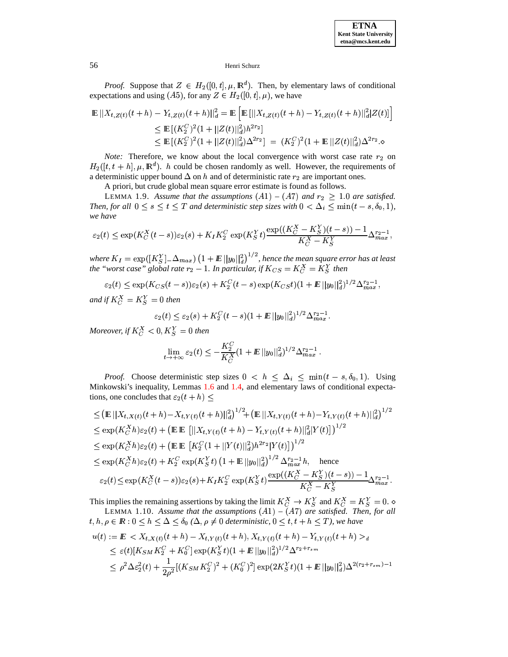

*Proof.* Suppose that  $Z \in H_2([0, t], \mu, \mathbb{R}^d)$ . Then, by elementary laws of conditional expectations and using (A5), for any  $Z \in H_2([0, t], \mu)$ , we have

$$
\mathbb{E} ||X_{t,Z(t)}(t+h) - Y_{t,Z(t)}(t+h)||_d^2 = \mathbb{E} \left[ \mathbb{E} [||X_{t,Z(t)}(t+h) - Y_{t,Z(t)}(t+h)||_d^2 |Z(t)] \right]
$$
  
\n
$$
\leq \mathbb{E} [(K_2^C)^2 (1 + ||Z(t)||_d^2) h^{2r_2}]
$$
  
\n
$$
\leq \mathbb{E} [(K_2^C)^2 (1 + ||Z(t)||_d^2) \Delta^{2r_2}] = (K_2^C)^2 (1 + \mathbb{E} ||Z(t)||_d^2) \Delta^{2r_2}. \diamond
$$

*Note:* Therefore, we know about the local convergence with worst case rate  $r_2$  on  $H_2([t, t+h], \mu, \mathbb{R}^d)$ . h could be chosen randomly as well. However, the requirements of a deterministic upper bound  $\Delta$  on h and of deterministic rate  $r_2$  are important ones.

A priori, but crude global mean square error estimate is found as follows.

<span id="page-6-1"></span>LEMMA 1.9. Assume that the assumptions  $(A1) - (A7)$  and  $r_2 \geq 1.0$  are satisfied. *Then, for all*  $0 \le s \le t \le T$  *and deterministic step sizes with*  $0 < \Delta_i \le \min(t - s, \delta_0, 1)$ , *we have*

$$
\varepsilon_2(t) \le \exp(K_C^X(t-s))\varepsilon_2(s) + K_I K_2^C \exp(K_S^Yt) \frac{\exp((K_C^X - K_S^Y)(t-s)) - 1}{K_C^X - K_S^Y} \Delta_{max}^{r_2 - 1},
$$

where  $K_I = \exp([K_S^Y] - \Delta_{max}) (1 + E ||y_0||_d^2)^{1/2}$ , hence the mean square error has at least  $p([K_S^Y]_-\Delta_{max})$   $(1 + E||y_0)$  $\ _{ax})$   $\left( 1+\bm{E} \, ||y_{0}||_{d}^{2} \right)^{1/2}$ , h : *, hence the mean square error has at least the "worst case" global rate*  $r_2 - 1$ *. In particular, if*  $K_{CS} = K_C^X = K_S^Y$  *then* 

$$
\varepsilon_2(t) \leq \exp(K_{CS}(t-s))\varepsilon_2(s) + K_2^C(t-s)\exp(K_{CS}t)(1+{I\!\! E}\, \|y_0\|_d^2)^{1/2}\Delta_{max}^{r_2-1},
$$

*and* if  $K_C^X = K_S^Y = 0$  then

$$
\varepsilon_2(t) \leq \varepsilon_2(s) + K_2^C (t-s) (1+ I\!\!E \, ||y_0||_d^2)^{1/2} \Delta_{max}^{r_2-1}.
$$

*Moreover, if*  $K_C^X < 0, K_S^Y = 0$  then

$$
\lim_{t\to +\infty}\varepsilon_2(t)\le -\frac{K_2^C}{K_C^X}(1+{I\!\!E}\,||y_0||_d^2)^{1/2}\Delta_{max}^{r_2-1}\,.
$$

*Proof.* Choose deterministic step sizes  $0 \le h \le \Delta_i \le \min(t - s, \delta_0, 1)$ . Using Minkowski's inequality, Lemmas [1.6](#page-4-2) and [1.4,](#page-4-1) and elementary laws of conditional expectations, one concludes that  $\varepsilon_2(t+h) \leq$ 

$$
\leq (\mathbb{E}||X_{t,X(t)}(t+h) - X_{t,Y(t)}(t+h)||_d^2)^{1/2} + (\mathbb{E}||X_{t,Y(t)}(t+h) - Y_{t,Y(t)}(t+h)||_d^2)^{1/2}
$$
\n
$$
\leq \exp(K_C^X h)\varepsilon_2(t) + (\mathbb{E}||X_{t,Y(t)}(t+h) - Y_{t,Y(t)}(t+h)||_d^2|Y(t)|)^{1/2}
$$
\n
$$
\leq \exp(K_C^X h)\varepsilon_2(t) + (\mathbb{E}||X_{t,Y(t)}(t)||_d^2)h^{2r_2}|Y(t)|)^{1/2}
$$
\n
$$
\leq \exp(K_C^X h)\varepsilon_2(t) + K_2^C \exp(K_S^Y t) (1 + \mathbb{E}||y_0||_d^2)^{1/2} \Delta_{max}^{r_2-1} h, \text{ hence}
$$
\n
$$
\varepsilon_2(t) \leq \exp(K_C^X (t-s))\varepsilon_2(s) + K_I K_2^C \exp(K_S^Y t) \frac{\exp((K_C^X - K_S^Y)(t-s)) - 1}{K_C^X - K_S^Y} \Delta_{max}^{r_2-1}.
$$

<span id="page-6-0"></span>This implies the remaining assertions by taking the limit  $K_C^X \to K_S^Y$  and  $K_C^X = K_S^Y = 0$ . LEMMA 1.10. Assume that the assumptions  $(A1) - (A7)$  are satisfied. Then, for all

 $t, h, \rho \in \mathbb{R}: 0 \leq h \leq \Delta \leq \delta_0 \; (\Delta, \rho \neq 0 \; \text{deterministic}, 0 \leq t, t + h \leq T)$ , we have

$$
u(t) := E < X_{t,X(t)}(t+h) - X_{t,Y(t)}(t+h), X_{t,Y(t)}(t+h) - Y_{t,Y(t)}(t+h) >_d
$$
  
\n
$$
\leq \varepsilon(t)[K_{SM}K_2^C + K_0^C] \exp(K_S^Y t)(1 + E||y_0||_d^2)^{1/2} \Delta^{r_2+r_{sm}}
$$
  
\n
$$
\leq \rho^2 \Delta \varepsilon_2^2(t) + \frac{1}{2\rho^2} [(K_{SM}K_2^C)^2 + (K_0^C)^2] \exp(2K_S^Y t)(1 + E||y_0||_d^2) \Delta^{2(r_2+r_{sm})-1}
$$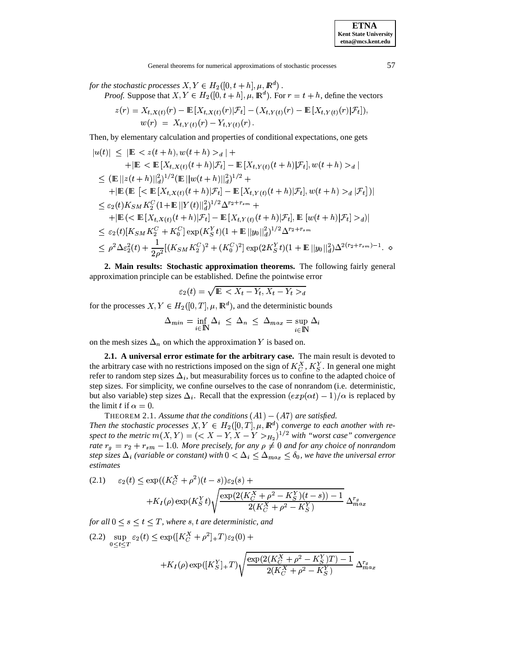*for the stochastic processes*  $X, Y \in H_2([0,t+h], \mu, I\!\!R^d)$  .

*Proof.* Suppose that  $X, Y \in H_2([0, t+h], \mu, \mathbb{R}^d)$ . For  $r = t+h$ , define the vectors

$$
z(r) = X_{t,X(t)}(r) - \mathbb{E}[X_{t,X(t)}(r)|\mathcal{F}_t] - (X_{t,Y(t)}(r) - \mathbb{E}[X_{t,Y(t)}(r)|\mathcal{F}_t]),
$$
  
\n
$$
w(r) = X_{t,Y(t)}(r) - Y_{t,Y(t)}(r).
$$

Then, by elementary calculation and properties of conditional expectations, one gets

$$
|u(t)| \leq |\mathbb{E} \leq z(t+h), w(t+h) > a| ++ |\mathbb{E} \leq \mathbb{E}[X_{t,X(t)}(t+h)|\mathcal{F}_t] - \mathbb{E}[X_{t,Y(t)}(t+h)|\mathcal{F}_t], w(t+h) > a|\leq (\mathbb{E}||z(t+h)||_d^2)^{1/2} (\mathbb{E}||w(t+h)||_d^2)^{1/2} ++ |\mathbb{E}(\mathbb{E}[\leq \mathbb{E}[X_{t,X(t)}(t+h)|\mathcal{F}_t] - \mathbb{E}[X_{t,Y(t)}(t+h)|\mathcal{F}_t], w(t+h) > a|\mathcal{F}_t])|\leq \varepsilon_2(t)K_{SM}K_2^C (1+\mathbb{E}||Y(t)||_d^2)^{1/2} \Delta^{r_2+r_{sm}} ++ |\mathbb{E}(\leq \mathbb{E}[X_{t,X(t)}(t+h)|\mathcal{F}_t] - \mathbb{E}[X_{t,Y(t)}(t+h)|\mathcal{F}_t], \mathbb{E}[w(t+h)|\mathcal{F}_t] > a)|\leq \varepsilon_2(t)[K_{SM}K_2^C + K_0^C] \exp(K_S^Y t)(1+\mathbb{E}||y_0||_d^2)^{1/2} \Delta^{r_2+r_{sm}}\leq \rho^2 \Delta \varepsilon_2^2(t) + \frac{1}{2\rho^2} [(K_{SM}K_2^C)^2 + (K_0^C)^2] \exp(2K_S^Y t)(1+\mathbb{E}||y_0||_d^2) \Delta^{2(r_2+r_{sm})-1}. \diamond
$$

**2. Main results: Stochastic approximation theorems.** The following fairly general approximation principle can be established. Define the pointwise error

$$
\varepsilon_2(t) = \sqrt{\mathbb{E} \, \leq X_t - Y_t, X_t - Y_t >_d}
$$

for the processes  $X, Y \in H_2([0,T], \mu, \mathbb{R}^d)$ , and the deterministic bounds

$$
\Delta_{min} = \inf_{i \in \mathbb{N}} \Delta_i \leq \Delta_n \leq \Delta_{max} = \sup_{i \in \mathbb{N}} \Delta_i
$$

on the mesh sizes  $\Delta_n$  on which the approximation Y is based on.

**2.1. A universal error estimate for the arbitrary case.** The main result is devoted to the arbitrary case with no restrictions imposed on the sign of  $K_C^X$ ,  $K_S^Y$ . In general one might refer to random step sizes  $\Delta_i$ , but measurability forces us to confine to the adapted choice of step sizes. For simplicity, we confine ourselves to the case of nonrandom (i.e. deterministic, but also variable) step sizes  $\Delta_i$ . Recall that the expression  $(exp(\alpha t) - 1)/\alpha$  is replaced by the limit t if  $\alpha = 0$ .

<span id="page-7-0"></span>THEOREM 2.1. Assume that the conditions  $(A1) - (A7)$  are satisfied. *Then* the stochastic processes  $X, Y \in H_2([0,T], \mu, \mathbb{R}^d)$  converge to each another with respect to the metric  $m(X, Y) = \left( \langle X - Y, X - Y \rangle_{H_2} \right)^{1/2}$  with "worst case" convergence *rate*  $r_g = r_2 + r_{sm} - 1.0$ . More precisely, for any  $\rho \neq 0$  and for any choice of nonrandom  $\int$  *step* sizes  $\Delta_i$  (variable or constant) with  $0 < \Delta_i \leq \Delta_{max} \leq \delta_0$ , we have the universal error *estimates*

<span id="page-7-1"></span>(2.1) 
$$
\varepsilon_2(t) \le \exp((K_C^X + \rho^2)(t-s))\varepsilon_2(s) +
$$
  
  $+ K_I(\rho) \exp(K_S^Y t) \sqrt{\frac{\exp(2(K_C^X + \rho^2 - K_S^Y)(t-s)) - 1}{2(K_C^X + \rho^2 - K_S^Y)}}$   $\Delta_{max}^{r_g}$ 

for all  $0 \leq s \leq t \leq T$ , where  $s, t$  are deterministic, and

$$
(2.2) \sup_{0 \le t \le T} \varepsilon_2(t) \le \exp\left(\left[K_C^X + \rho^2\right]_+ T\right) \varepsilon_2(0) +
$$
  
 
$$
+ K_I(\rho) \exp\left(\left[K_S^Y\right]_+ T\right) \sqrt{\frac{\exp\left(2\left(K_C^X + \rho^2 - K_S^Y\right)T\right) - 1}{2\left(K_C^X + \rho^2 - K_S^Y\right)}} \Delta_{max}^{r_g}
$$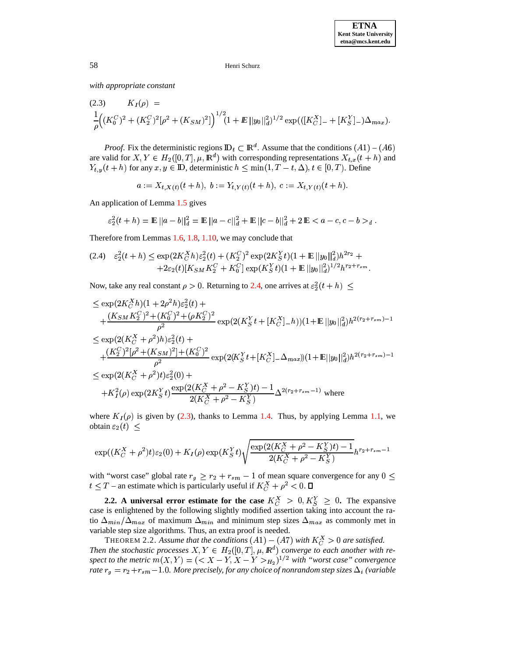with appropriate constant

<span id="page-8-1"></span>(2.3) 
$$
K_I(\rho) = \frac{1}{\rho} \Big( (K_0^C)^2 + (K_2^C)^2 [\rho^2 + (K_{SM})^2] \Big)^{1/2} (1 + E ||y_0||_d^2)^{1/2} \exp\left( ([K_C^X]_+ + [K_S^Y]_-) \Delta_{max} \right).
$$

*Proof.* Fix the deterministic regions  $\mathbb{D}_t \subset \mathbb{R}^d$ . Assume that the conditions  $(A1) - (A6)$ are valid for  $X, Y \in H_2([0, T], \mu, \mathbb{R}^d)$  with corresponding representations  $X_{t,x}(t+h)$  and  $Y_{t,y}(t+h)$  for any  $x, y \in \mathbb{D}$ , deterministic  $h \leq \min(1, T-t, \Delta), t \in [0, T)$ . Define

 $a := X_{t,X(t)}(t+h), b := Y_{t,Y(t)}(t+h), c := X_{t,Y(t)}(t+h).$ 

An application of Lemma 1.5 gives

$$
\varepsilon_2^2(t+h) = \mathbb{E} ||a-b||_d^2 = \mathbb{E} ||a-c||_d^2 + \mathbb{E} ||c-b||_d^2 + 2 \mathbb{E} < a-c, c-b >_d.
$$

Therefore from Lemmas 1.6, 1.8, 1.10, we may conclude that

<span id="page-8-0"></span>
$$
(2.4) \quad \varepsilon_2^2(t+h) \le \exp(2K_C^X h)\varepsilon_2^2(t) + (K_2^C)^2 \exp(2K_S^Y t)(1+\mathbb{E}||y_0||_d^2)h^{2r_2} ++2\varepsilon_2(t)[K_{SM}K_2^C + K_0^C] \exp(K_S^Y t)(1+\mathbb{E}||y_0||_d^2)^{1/2}h^{r_2+r_{sm}}.
$$

Now, take any real constant  $\rho > 0$ . Returning to 2.4, one arrives at  $\varepsilon_2^2(t + h) \leq$ 

$$
\leq \exp(2K_C^X h)(1+2\rho^2 h)\varepsilon_2^2(t)+
$$
  
+
$$
\frac{(K_{SM}K_2^C)^2 + (K_0^C)^2 + (\rho K_2^C)^2}{\rho^2} \exp(2(K_S^Y t + [K_C^X] - h))(1 + \mathbb{E}||y_0||_d^2)h^{2(r_2+r_{sm})-1}
$$
  

$$
\leq \exp(2(K_C^X + \rho^2)h)\varepsilon_2^2(t) +
$$
  
+
$$
\frac{(K_2^C)^2[\rho^2 + (K_{SM})^2] + (K_0^C)^2}{\rho^2} \exp(2(K_S^Y t + [K_C^X] - \Delta_{max}))(1 + \mathbb{E}||y_0||_d^2)h^{2(r_2+r_{sm})-1}
$$
  

$$
\leq \exp(2(K_C^X + \rho^2)t)\varepsilon_2^2(0) +
$$
  
+
$$
K_I^2(\rho) \exp(2K_S^Y t) \frac{\exp(2(K_C^X + \rho^2 - K_S^Y)t) - 1}{2(K_C^X + \rho^2 - K_S^Y)} \Delta^{2(r_2+r_{sm}-1)}
$$
 where

where  $K_I(\rho)$  is given by (2.3), thanks to Lemma 1.4. Thus, by applying Lemma 1.1, we obtain  $\varepsilon_2(t)$  <

$$
\exp((K_C^X + \rho^2)t)\varepsilon_2(0) + K_I(\rho)\exp(K_S^Yt)\sqrt{\frac{\exp(2(K_C^X + \rho^2 - K_S^Y)t) - 1}{2(K_C^X + \rho^2 - K_S^Y)}}h^{r_2 + r_{sm} - 1}
$$

with "worst case" global rate  $r_g \ge r_2 + r_{sm} - 1$  of mean square convergence for any  $0 \le t \le T$  – an estimate which is particularly useful if  $K_C^X + \rho^2 < 0$ .  $\Box$ 

2.2. A universal error estimate for the case  $K_C^X > 0, K_S^Y \geq 0$ . The expansive case is enlightened by the following slightly modified assertion taking into account the ratio  $\Delta_{min}/\Delta_{max}$  of maximum  $\Delta_{min}$  and minimum step sizes  $\Delta_{max}$  as commonly met in variable step size algorithms. Thus, an extra proof is needed.

THEOREM 2.2. Assume that the conditions  $(A1) - (A7)$  with  $K_C^X > 0$  are satisfied. Then the stochastic processes  $X, Y \in H_2([0, T], \mu, \mathbb{R}^d)$  converge to each another with respect to the metric  $m(X, Y) = (\langle X - Y, X - Y \rangle_{H_2})^{1/2}$  with "worst case" convergence rate  $r_g = r_2 + r_{sm} - 1.0$ . More precisely, for any choice of nonrandom step sizes  $\Delta_i$  (variable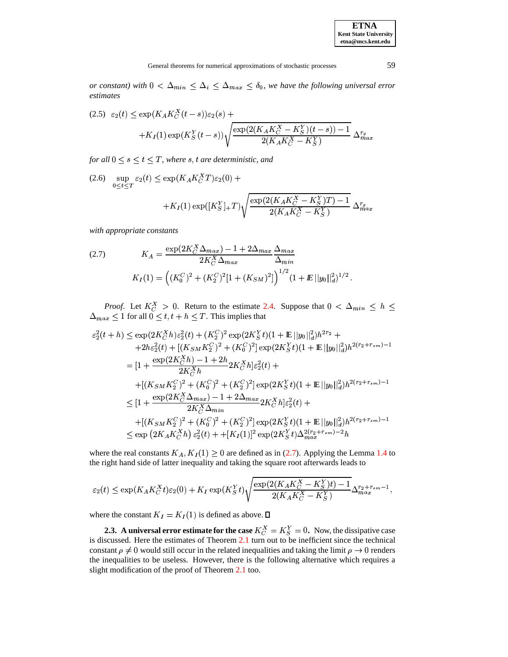or constant) with  $0 < \Delta_{min} \leq \Delta_i \leq \Delta_{max} \leq \delta_0$ , we have the following universal error estimates

$$
(2.5) \varepsilon_2(t) \le \exp(K_A K_C^X(t-s))\varepsilon_2(s) ++K_I(1)\exp(K_S^Y(t-s))\sqrt{\frac{\exp(2(K_A K_C^X - K_S^Y)(t-s)) - 1}{2(K_A K_C^X - K_S^Y)}} \Delta_{max}^{r_g}
$$

for all  $0 \leq s \leq t \leq T$ , where s, t are deterministic, and

(2.6)  $\sup_{0 \le t \le T} \varepsilon_2(t) \le \exp(K_A K_C^X T) \varepsilon_2(0) +$ 

$$
+K_{I}(1)\exp([K_{S}^{Y}]_{+}T)\sqrt{\frac{\exp(2(K_{A}K_{C}^{X}-K_{S}^{Y})T)-1}{2(K_{A}K_{C}^{X}-K_{S}^{Y})}}\Delta_{max}^{r_{g}}
$$

with appropriate constants

<span id="page-9-0"></span>(2.7) 
$$
K_A = \frac{\exp(2K_C^X \Delta_{max}) - 1 + 2\Delta_{max}}{2K_C^X \Delta_{max}} \frac{\Delta_{max}}{\Delta_{min}}
$$

$$
K_I(1) = ((K_0^C)^2 + (K_2^C)^2[1 + (K_{SM})^2])^{1/2} (1 + E||y_0||_d^2)^{1/2}
$$

*Proof.* Let  $K_C^X > 0$ . Return to the estimate 2.4. Suppose that  $0 < \Delta_{min} \le h \le$  $\Delta_{max} \leq 1$  for all  $0 \leq t, t + h \leq T$ . This implies that

$$
\varepsilon_2^2(t+h) \leq \exp(2K_C^X h)\varepsilon_2^2(t) + (K_2^C)^2 \exp(2K_S^Y t)(1 + \mathbb{E}||y_0||_d^2)h^{2r_2} ++ 2h\varepsilon_2^2(t) + [(K_{SM}K_2^C)^2 + (K_0^C)^2] \exp(2K_S^Y t)(1 + \mathbb{E}||y_0||_d^2)h^{2(r_2+r_{sm})-1}= [1 + \frac{\exp(2K_C^X h) - 1 + 2h}{2K_C^X h} 2K_C^X h]\varepsilon_2^2(t) ++ [(K_{SM}K_2^C)^2 + (K_0^C)^2 + (K_2^C)^2] \exp(2K_S^Y t)(1 + \mathbb{E}||y_0||_d^2)h^{2(r_2+r_{sm})-1}\leq [1 + \frac{\exp(2K_C^X \Delta_{max}) - 1 + 2\Delta_{max}}{2K_C^X \Delta_{min}} 2K_C^X h]\varepsilon_2^2(t) ++ [(K_{SM}K_2^C)^2 + (K_0^C)^2 + (K_2^C)^2] \exp(2K_S^Y t)(1 + \mathbb{E}||y_0||_d^2)h^{2(r_2+r_{sm})-1}\leq \exp(2K_A K_C^X h) \varepsilon_2^2(t) + + [K_I(1)]^2 \exp(2K_S^Y t)\Delta_{max}^{2(r_{2}+r_{sm})-2}h
$$

where the real constants  $K_A$ ,  $K_I(1) \geq 0$  are defined as in (2.7). Applying the Lemma 1.4 to the right hand side of latter inequality and taking the square root afterwards leads to

$$
\varepsilon_2(t) \le \exp(K_A K_C^X t) \varepsilon_2(0) + K_I \exp(K_S^Y t) \sqrt{\frac{\exp(2(K_A K_C^X - K_S^Y)t) - 1}{2(K_A K_C^X - K_S^Y)}} \Delta_{max}^{r_2 + r_{sm} - 1}
$$

where the constant  $K_I = K_I(1)$  is defined as above.  $\square$ 

2.3. A universal error estimate for the case  $K_C^X = K_S^Y = 0$ . Now, the dissipative case is discussed. Here the estimates of Theorem 2.1 turn out to be inefficient since the technical constant  $\rho \neq 0$  would still occur in the related inequalities and taking the limit  $\rho \rightarrow 0$  renders the inequalities to be useless. However, there is the following alternative which requires a slight modification of the proof of Theorem 2.1 too.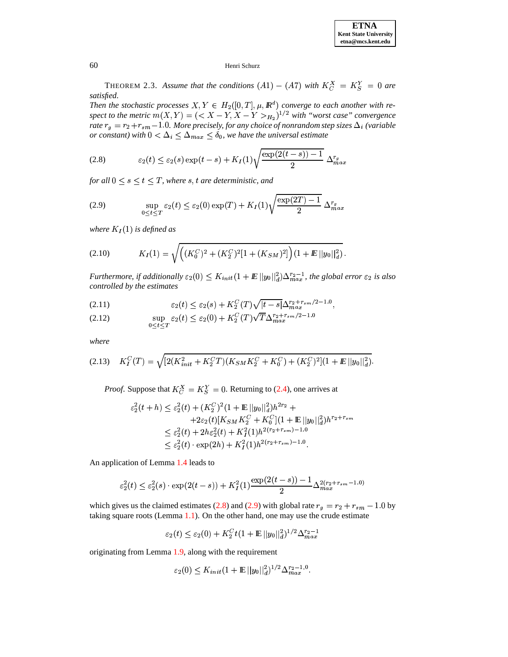THEOREM 2.3. Assume that the conditions  $(A1) - (A7)$  with  $K_C^X = K_S^Y = 0$  are *satisfied.*

*Then* the stochastic processes  $X, Y \in H_2([0,T], \mu, \mathbb{R}^d)$  converge to each another with respect to the metric  $m(X, Y) = \left( \langle X - Y, X - Y \rangle_{H_2} \right)^{1/2}$  with "worst case" convergence *rate*  $r_g = r_2 + r_{sm} - 1.0$ . More precisely, for any choice of nonrandom step sizes  $\Delta_i$  (variable  $\frac{1}{\sqrt{2}}$   $\frac{1}{\sqrt{2}}$   $\frac{1}{\sqrt{3}}$   $\frac{1}{\sqrt{6}}$   $\frac{1}{\sqrt{6}}$   $\frac{1}{\sqrt{6}}$   $\frac{1}{\sqrt{6}}$   $\frac{1}{\sqrt{6}}$   $\frac{1}{\sqrt{6}}$   $\frac{1}{\sqrt{6}}$   $\frac{1}{\sqrt{6}}$   $\frac{1}{\sqrt{6}}$   $\frac{1}{\sqrt{6}}$   $\frac{1}{\sqrt{6}}$   $\frac{1}{\sqrt{6}}$   $\frac{1}{\sqrt{6}}$   $\frac{1}{\sqrt{6}}$ 

<span id="page-10-0"></span>(2.8) 
$$
\varepsilon_2(t) \leq \varepsilon_2(s) \exp(t-s) + K_I(1) \sqrt{\frac{\exp(2(t-s))-1}{2}} \Delta_{max}^{r_g}
$$

for all  $0 \leq s \leq t \leq T$ , where  $s, t$  are deterministic, and

<span id="page-10-1"></span>(2.9) 
$$
\sup_{0 \leq t \leq T} \varepsilon_2(t) \leq \varepsilon_2(0) \exp(T) + K_I(1) \sqrt{\frac{\exp(2T) - 1}{2}} \Delta_{max}^{r_g}
$$

where  $K_I(1)$  is defined as

$$
(2.10) \t K_I(1) = \sqrt{((K_0^C)^2 + (K_2^C)^2[1 + (K_{SM})^2]) (1 + E||y_0||_d^2)}.
$$

*Furthermore, if additionally*  $\varepsilon_2(0) \leq K_{init}(1 + E||y_0||_d^2) \Delta_{max}^{r_2-1}$ , the global error  $\varepsilon_2$  is also *controlled by the estimates*

$$
\varepsilon_2(t) \le \varepsilon_2(s) + K_2^C(T)\sqrt{|t-s|} \Delta_{max}^{r_2+r_{sm}/2-1.0},
$$

(2.12) 
$$
\sup_{0 \le t \le T} \varepsilon_2(t) \le \varepsilon_2(0) + K_2^C(T) \sqrt{T} \Delta_{max}^{r_2 + r_{sm}/2 - 1.0}
$$

*where*

$$
(2.13) \quad K_I^C(T) = \sqrt{[2(K_{init}^2 + K_2^C T)(K_{SM} K_2^C + K_0^C) + (K_2^C)^2](1 + E\|y_0\|_d^2)}.
$$

*Proof.* Suppose that  $K_C^X = K_S^Y = 0$ . Returning to [\(2.4\)](#page-8-0), one arrives at

$$
\varepsilon_2^2(t+h) \le \varepsilon_2^2(t) + (K_2^C)^2 (1 + \mathbb{E} ||y_0||_d^2) h^{2r_2} ++ 2\varepsilon_2(t) [K_{SM} K_2^C + K_0^C] (1 + \mathbb{E} ||y_0||_d^2) h^{r_2 + r_{sm}}\le \varepsilon_2^2(t) + 2h\varepsilon_2^2(t) + K_I^2(1) h^{2(r_2 + r_{sm}) - 1.0}\le \varepsilon_2^2(t) \cdot \exp(2h) + K_I^2(1) h^{2(r_2 + r_{sm}) - 1.0}.
$$

An application of Lemma [1.4](#page-4-1) leads to

$$
\varepsilon_2^2(t) \le \varepsilon_2^2(s) \cdot \exp(2(t-s)) + K_I^2(1) \frac{\exp(2(t-s)) - 1}{2} \Delta_{max}^{2(r_2 + r_{sm} - 1.0)}
$$

which gives us the claimed estimates [\(2.8\)](#page-10-0) and [\(2.9\)](#page-10-1) with global rate  $r_g = r_2 + r_{sm} - 1.0$  by taking square roots (Lemma [1.1\)](#page-3-2). On the other hand, one may use the crude estimate

$$
\varepsilon_2(t) \leq \varepsilon_2(0) + K_2^C t (1+ \hbox{\bf E} \, \|y_0\|_d^2)^{1/2} \Delta_{max}^{r_2-1}
$$

originating from Lemma [1.9,](#page-6-1) along with the requirement

$$
\varepsilon_2(0) \leq K_{init}(1 + \mathbb{E} \, ||y_0||_d^2)^{1/2} \Delta_{max}^{r_2 - 1.0}.
$$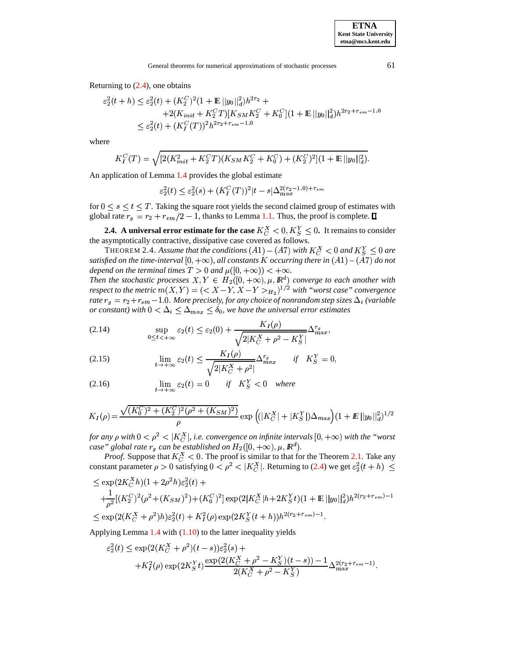Returning to  $(2.4)$ , one obtains

$$
\varepsilon_2^2(t+h) \le \varepsilon_2^2(t) + (K_2^C)^2 (1 + \mathbb{E} ||y_0||_d^2) h^{2r_2} +
$$
  
+2(K<sub>init</sub> + K\_2^C T)[K<sub>SM</sub> K\_2^C + K\_0^C](1 + \mathbb{E} ||y\_0||\_d^2) h^{2r\_2 + r\_{sm} - 1.0}  

$$
\le \varepsilon_2^2(t) + (K_1^C(T))^2 h^{2r_2 + r_{sm} - 1.0}
$$

where

$$
K_I^C(T) = \sqrt{[2(K_{init}^2 + K_2^C T)(K_{SM} K_2^C + K_0^C) + (K_2^C)^2](1 + \mathbb{E}||y_0||_d^2)}.
$$

An application of Lemma [1.4](#page-4-1) provides the global estimate

<span id="page-11-1"></span>
$$
\varepsilon_2^2(t)\leq \varepsilon_2^2(s)+(K_I^C(T))^2|t-s|\Delta_{max}^{2(r_2-1.0)+r_{sm}}
$$

for  $0 \le s \le t \le T$ . Taking the square root yields the second claimed group of estimates with global rate  $r_q = r_2 + r_{sm}/2 - 1$ , thanks to Lemma [1.1.](#page-3-2) Thus, the proof is complete.

**2.4.** A universal error estimate for the case  $K_C^X < 0, K_S^Y \le 0$ . It remains to consider the asymptotically contractive, dissipative case covered as follows.

THEOREM 2.4. Assume that the conditions  $(A1) - (A7)$  with  $K_C^X < 0$  and  $K_S^X \le 0$  are satisfied on the time-interval  $[0, +\infty)$ , all constants  $K$  occurring there in  $(A1) - (A7)$  do not *depend on the terminal times*  $T > 0$  *and*  $\mu([0, +\infty)) < +\infty$ .

*Then* the stochastic processes  $X, Y \in H_2([0, +\infty), \mu, \mathbb{R}^d)$  converge to each another with *respect to the metric*  $m(X, Y) = (\langle X - Y, X - Y \rangle_{H_2})^{1/2}$  with "worst case" convergence rate  $r_g = r_2 + r_{sm} - 1.0$ . More precisely, for any choice of nonrandom step sizes  $\Delta_i$  (variable or *constant*) with  $0 < \Delta_i \leq \Delta_{max} \leq \delta_0$ , we have the universal error estimates

<span id="page-11-0"></span>
$$
\text{(2.14)} \qquad \qquad \sup_{0 \leq t < +\infty} \varepsilon_2(t) \leq \varepsilon_2(0) + \frac{K_I(\rho)}{\sqrt{2|K_C^X + \rho^2 - K_S^Y|}} \Delta_{max}^{r_g},
$$

(2.15) 
$$
\lim_{t \to +\infty} \varepsilon_2(t) \le \frac{K_I(\rho)}{\sqrt{2|K_C^X + \rho^2|}} \Delta_{max}^{r_g} \qquad \text{if} \quad K_S^Y = 0,
$$

(2.16) 
$$
\lim_{t \to +\infty} \varepsilon_2(t) = 0 \quad \text{if} \quad K_S^Y < 0 \quad \text{where}
$$

$$
K_{I}(\rho) = \frac{\sqrt{(K_{0}^{C})^{2} + (K_{2}^{C})^{2}(\rho^{2} + (K_{SM})^{2})}}{\rho} \exp \left( (|K_{C}^{X}| + |K_{S}^{Y}|) \Delta_{max} \right) (1 + E ||y_{0}||_{d}^{2})^{1/2}
$$

*for any*  $\rho$  *with*  $0 < \rho^2 < |K_C^X|$ , *i.e. convergence on infinite intervals*  $[0, +\infty)$  *with the "worst case"* global rate  $r_q$  *can be established on*  $H_2([0,+\infty),\mu,\mathbb{R}^d)$ .

*Proof.* Suppose that  $K_C^X < 0$ . The proof is similar to that for the Theorem [2.1.](#page-7-0) Take any constant parameter  $\rho > 0$  satisfying  $0 < \rho^2 < |K_C^X|$ . Returning to [\(2.4\)](#page-8-0) we get  $\varepsilon_2^2(t+h) \le$ 

$$
\leq \exp(2K_C^X h)(1+2\rho^2 h)\varepsilon_2^2(t) ++\frac{1}{\rho^2}[(K_2^C)^2(\rho^2+(K_{SM})^2)+(K_0^C)^2]\exp(2|K_C^X|h+2K_S^Yt)(1+\mathbb{E}||y_0||_d^2)h^{2(r_2+r_{sm})-1}\leq \exp(2(K_C^X+\rho^2)h)\varepsilon_2^2(t)+K_I^2(\rho)\exp(2K_S^Y(t+h))h^{2(r_2+r_{sm})-1}.
$$

Applying Lemma [1.4](#page-4-1) with [\(1.10\)](#page-4-4) to the latter inequality yields

$$
\varepsilon_2^2(t) \le \exp(2(K_C^X + \rho^2)(t-s))\varepsilon_2^2(s) ++K_I^2(\rho)\exp(2K_S^Yt)\frac{\exp(2(K_C^X + \rho^2 - K_S^Y)(t-s)) - 1}{2(K_C^X + \rho^2 - K_S^Y)}\Delta_{max}^{2(r_2 + r_{sm} - 1)}.
$$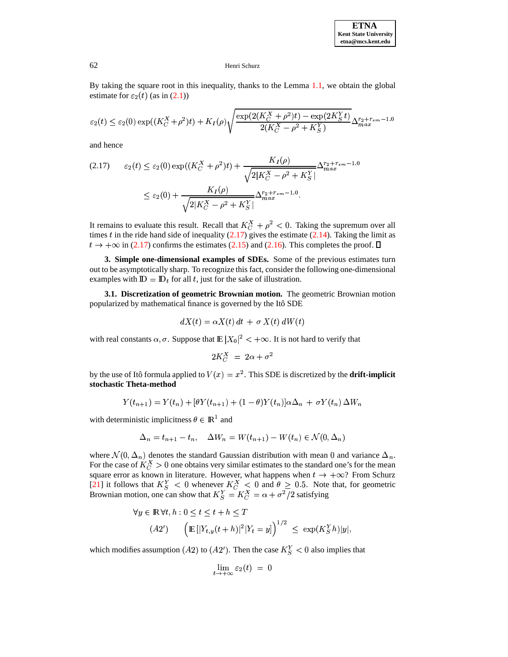By taking the square root in this inequality, thanks to the Lemma [1.1,](#page-3-2) we obtain the global estimate for  $\varepsilon_2(t)$  (as in [\(2.1\)](#page-7-1))

$$
\varepsilon_2(t) \le \varepsilon_2(0) \exp((K_C^X + \rho^2)t) + K_I(\rho) \sqrt{\frac{\exp(2(K_C^X + \rho^2)t) - \exp(2K_S^Yt)}{2(K_C^X - \rho^2 + K_S^Y)}} \Delta_{max}^{r_2 + r_{sm} - 1.0}
$$

and hence

<span id="page-12-0"></span>
$$
(2.17) \qquad \varepsilon_2(t) \le \varepsilon_2(0) \exp((K_C^X + \rho^2)t) + \frac{K_I(\rho)}{\sqrt{2|K_C^X - \rho^2 + K_S^Y|}} \Delta_{max}^{r_2 + r_{sm} - 1.0}
$$
\n
$$
\le \varepsilon_2(0) + \frac{K_I(\rho)}{\sqrt{2|K_C^X - \rho^2 + K_S^Y|}} \Delta_{max}^{r_2 + r_{sm} - 1.0}.
$$

It remains to evaluate this result. Recall that  $K_C^X + \rho^2 < 0$ . Taking the supremum over all times  $t$  in the ride hand side of inequality [\(2.17\)](#page-12-0) gives the estimate [\(2.14\)](#page-11-0). Taking the limit as  $t \to +\infty$  in [\(2.17\)](#page-12-0) confirms the estimates [\(2.15\)](#page-11-0) and [\(2.16\)](#page-11-0). This completes the proof.  $\Box$ 

**3. Simple one-dimensional examples of SDEs.** Some of the previous estimates turn out to be asymptotically sharp. To recognize this fact, consider the following one-dimensional examples with  $\mathbb{D} = \mathbb{D}_t$  for all t, just for the sake of illustration.

**3.1. Discretization of geometric Brownian motion.** The geometric Brownian motion popularized by mathematical finance is governed by the Itô SDE

$$
dX(t) = \alpha X(t) dt + \sigma X(t) dW(t)
$$

with real constants  $\alpha, \sigma$ . Suppose that  $\mathbb{E}|X_0|^2 < +\infty$ . It is not hard to verify that

$$
2K_C^X = 2\alpha + \sigma^2
$$

by the use of Itô formula applied to  $V(x) = x^2$ . This SDE is discretized by the **drift-implicit stochastic Theta-method**

$$
Y(t_{n+1}) = Y(t_n) + [\theta Y(t_{n+1}) + (1-\theta)Y(t_n)]\alpha\Delta_n + \sigma Y(t_n)\Delta W_n
$$

with deterministic implicitness  $\theta \in \mathbb{R}^1$  and

$$
\Delta_n = t_{n+1} - t_n, \quad \Delta W_n = W(t_{n+1}) - W(t_n) \in \mathcal{N}(0, \Delta_n)
$$

where  $\mathcal{N}(0, \Delta_n)$  denotes the standard Gaussian distribution with mean 0 and variance  $\Delta_n$ . For the case of  $K_C^X > 0$  one obtains very similar estimates to the standard one's for the mean square error as known in literature. However, what happens when  $t \to +\infty$ ? From Schurz [\[21\]](#page-18-11) it follows that  $K_S^Y < 0$  whenever  $K_C^X < 0$  and  $\theta \geq 0.5$ . Note that, for geometric Brownian motion, one can show that  $K_S^Y = K_C^X = \alpha + \sigma^2/2$  satisfying  $\frac{1}{2}$  satisfying

$$
\forall y \in \mathbb{R} \,\forall t, h: 0 \le t \le t + h \le T
$$
  
(A2') 
$$
\left(\mathbb{E}\left[|Y_{t,y}(t+h)|^2|Y_t=y|\right]^{1/2} \le \exp(K_S^Y h)|y|,
$$

which modifies assumption (A2) to (A2'). Then the case  $K_S^Y < 0$  also implies that

$$
\lim_{t \to +\infty} \varepsilon_2(t) = 0
$$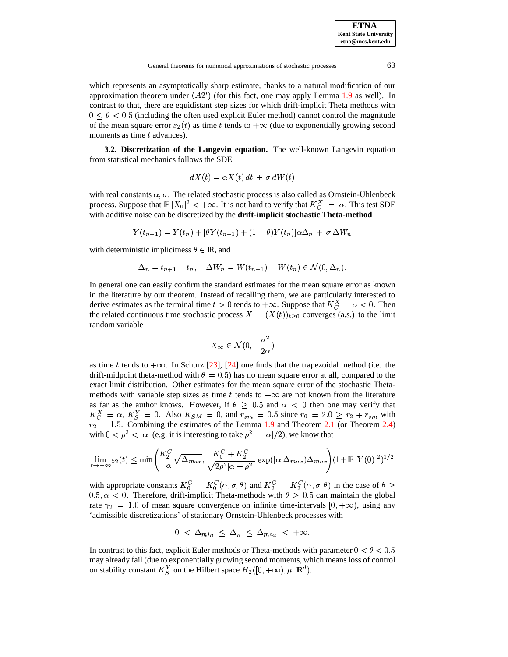which represents an asymptotically sharp estimate, thanks to a natural modification of our approximation theorem under  $(A2')$  (for this fact, one may apply Lemma [1.9](#page-6-1) as well). In contrast to that, there are equidistant step sizes for which drift-implicit Theta methods with  $0 \le \theta < 0.5$  (including the often used explicit Euler method) cannot control the magnitude of the mean square error  $\varepsilon_2(t)$  as time t tends to  $+\infty$  (due to exponentially growing second moments as time  $t$  advances).

**3.2. Discretization of the Langevin equation.** The well-known Langevin equation from statistical mechanics follows the SDE

$$
dX(t) = \alpha X(t) dt + \sigma dW(t)
$$

with real constants  $\alpha$ ,  $\sigma$ . The related stochastic process is also called as Ornstein-Uhlenbeck process. Suppose that  $\mathbb{E}|X_0|^2 < +\infty$ . It is not hard to verify that  $K_C^X = \alpha$ . This test SDE <sup>5</sup> with additive noise can be discretized by the **drift-implicit stochastic Theta-method**

$$
Y(t_{n+1}) = Y(t_n) + [\theta Y(t_{n+1}) + (1 - \theta)Y(t_n)]\alpha \Delta_n + \sigma \Delta W_n
$$

with deterministic implicitness  $\theta \in \mathbb{R}$ , and

$$
\Delta_n = t_{n+1} - t_n, \quad \Delta W_n = W(t_{n+1}) - W(t_n) \in \mathcal{N}(0, \Delta_n).
$$

In general one can easily confirm the standard estimates for the mean square error as known in the literature by our theorem. Instead of recalling them, we are particularly interested to derive estimates as the terminal time  $t > 0$  tends to  $+\infty$ . Suppose that  $K_C^X = \alpha < 0$ . Then the related continuous time stochastic process  $X = (X(t))_{t>0}$  converges (a.s.) to the limit random variable

$$
X_\infty \in \mathcal{N}(0,-\frac{\sigma^2}{2\alpha})
$$

as time t tends to  $+\infty$ . In Schurz [\[23\]](#page-18-12), [\[24\]](#page-19-7) one finds that the trapezoidal method (i.e. the drift-midpoint theta-method with  $\theta = 0.5$ ) has no mean square error at all, compared to the exact limit distribution. Other estimates for the mean square error of the stochastic Thetamethods with variable step sizes as time t tends to  $+\infty$  are not known from the literature as far as the author knows. However, if  $\theta \geq 0.5$  and  $\alpha < 0$  then one may verify that  $K_G^X = \alpha, K_S^Y = 0$ . Also  $K_{SM} = 0$ , and  $r_{sm} = 0.5$  since  $r_0 = 2.0 \ge r_2 + r_{sm}$  with  $s_2 = 1.5$ . Combining the estimates of the Lemma [1.9](#page-6-1) and Theorem [2.1](#page-7-0) (or Theorem [2.4\)](#page-11-1) with  $0 < \rho^2 < |\alpha|$  (e.g. it is interesting to take  $\rho^2 = |\alpha|/2$ ), we know that

$$
\lim_{t \to +\infty} \varepsilon_2(t) \le \min\left(\frac{K_2^C}{-\alpha} \sqrt{\Delta_{max}}, \frac{K_0^C + K_2^C}{\sqrt{2\rho^2 |\alpha + \rho^2|}} \exp(|\alpha| \Delta_{max}) \Delta_{max}\right) (1 + \mathbb{E}|Y(0)|^2)^{1/2}
$$

with appropriate constants  $K_0^C = K_0^C(\alpha, \sigma, \theta)$  $0 \t -10 \t \cdot \cdot \cdot \cdot$  <sup>E</sup>  $(\alpha, \sigma, \theta)$  and  $K_2^C = K_2^C(\alpha, \sigma, \theta)$  in the case of  $\theta \geq$ 0.5,  $\alpha$  < 0. Therefore, drift-implicit Theta-methods with  $\theta \geq 0.5$  can maintain the global rate  $\gamma_2 = 1.0$  of mean square convergence on infinite time-intervals  $[0, +\infty)$ , using any 'admissible discretizations' of stationary Ornstein-Uhlenbeck processes with

$$
0 \ < \ \Delta_{min} \ \leq \ \Delta_n \ \leq \ \Delta_{max} \ < \ +\infty.
$$

In contrast to this fact, explicit Euler methods or Theta-methods with parameter  $0 < \theta < 0.5$ may already fail (due to exponentially growing second moments, which means loss of control on stability constant  $K_S^Y$  on the Hilbert space  $H_2([0, +\infty), \mu, \mathbb{R}^d)$ .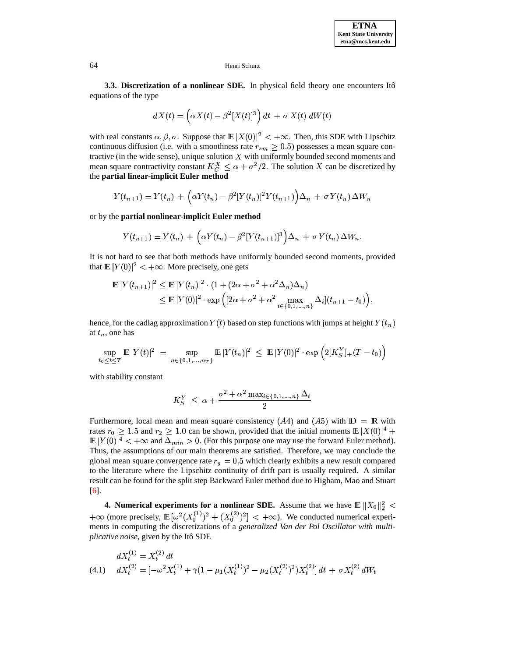**3.3.** Discretization of a nonlinear SDE. In physical field theory one encounters Itô equations of the type

$$
dX(t)=\left(\alpha X(t)-\beta^2[X(t)]^3\right)dt\,+\,\sigma\,X(t)\;dW(t)
$$

with real constants  $\alpha, \beta, \sigma$ . Suppose that  $\mathbb{E}|X(0)|^2 < +\infty$ . Then, this SDE with Lipschitz continuous diffusion (i.e. with a smoothness rate  $r_{sm} \geq 0.5$ ) possesses a mean square contractive (in the wide sense), unique solution  $X$  with uniformly bounded second moments and mean square contractivity constant  $K_C^X \leq \alpha + \sigma^2/2$ . The solution X can be discretized by The contract of the contract of the contract of the contract of the contract of the contract of the contract of the **partial linear-implicit Euler method**

$$
Y(t_{n+1}) = Y(t_n) + \left(\alpha Y(t_n) - \beta^2 [Y(t_n)]^2 Y(t_{n+1})\right) \Delta_n + \sigma Y(t_n) \Delta W_n
$$

or by the **partial nonlinear-implicit Euler method**

$$
Y(t_{n+1}) = Y(t_n) + \left(\alpha Y(t_n) - \beta^2 [Y(t_{n+1})]^3\right) \Delta_n + \sigma Y(t_n) \Delta W_n.
$$

It is not hard to see that both methods have uniformly bounded second moments, provided that  $\mathbb{E}|Y(0)|^2 < +\infty$ . More precisely, one gets

$$
\mathbb{E}|Y(t_{n+1})|^2 \leq \mathbb{E}|Y(t_n)|^2 \cdot (1 + (2\alpha + \sigma^2 + \alpha^2 \Delta_n)\Delta_n)
$$
  
\$\leq\$ 
$$
\mathbb{E}|Y(0)|^2 \cdot \exp\left([2\alpha + \sigma^2 + \alpha^2 \max_{i \in \{0,1,\dots,n\}} \Delta_i](t_{n+1} - t_0)\right),
$$

hence, for the cadlag approximation  $Y(t)$  based on step functions with jumps at height  $Y(t_n)$ at  $t_n$ , one has

$$
\sup_{t_0 \leq t \leq T} \mathop{\mathbb{E}} |Y(t)|^2 \ = \ \sup_{n \in \{0,1,...,n_T\}} \mathop{\mathbb{E}} |Y(t_n)|^2 \ \leq \ \mathop{\mathbb{E}} |Y(0)|^2 \cdot \exp \Big( 2[K_S^Y]_+(T-t_0) \Big)
$$

with stability constant

$$
K_S^Y \leq \alpha + \frac{\sigma^2 + \alpha^2 \max_{i \in \{0, 1, \dots, n\}} \Delta_i}{2}
$$

Furthermore, local mean and mean square consistency (A4) and (A5) with  $\mathbb{D} = \mathbb{R}$  with rates  $r_0 \geq 1.5$  and  $r_2 \geq 1.0$  can be shown, provided that the initial moments  $\mathbb{E}|X(0)|^4$  + and the contract of the contract of the contract of the contract of the contract of the contract of the contract of the contract of the contract of the contract of the contract of the contract of the contract of the contra  $\mathbb{E}|Y(0)|^4<+\infty$  and  $\Delta_{min}>0$ . (For this purpose one may use the forward Euler method). Thus, the assumptions of our main theorems are satisfied. Therefore, we may conclude the global mean square convergence rate  $r_q = 0.5$  which clearly exhibits a new result compared to the literature where the Lipschitz continuity of drift part is usually required. A similar result can be found for the split step Backward Euler method due to Higham, Mao and Stuart [\[6\]](#page-18-7).

**4. Numerical experiments for a nonlinear SDE.** Assume that we have  $\mathbb{E} \Vert X_0 \Vert_2^2 <$  $+\infty$  (more precisely,  $\mathbb{E}[\omega^2(X_0^{(1)})^2 + (X_0^{(2)})^2] < +\infty$ ). We conducted numerical experiments in computing the discretizations of a *generalized Van der Pol Oscillator with multiplicative noise*, given by the Itô SDE

<span id="page-14-0"></span>
$$
dX_t^{(1)} = X_t^{(2)} dt
$$
  
(4.1) 
$$
dX_t^{(2)} = [-\omega^2 X_t^{(1)} + \gamma (1 - \mu_1 (X_t^{(1)})^2 - \mu_2 (X_t^{(2)})^2) X_t^{(2)}] dt + \sigma X_t^{(2)} dW_t
$$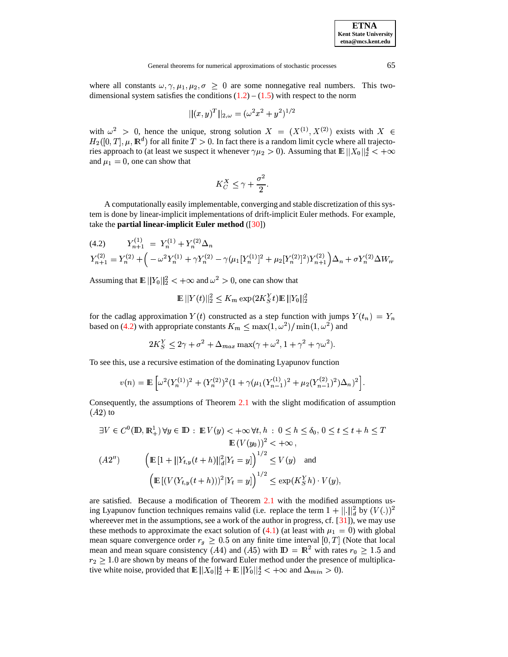where all constants  $\omega, \gamma, \mu_1, \mu_2, \sigma \geq 0$  are some nonnegative real numbers. This twodimensional system satisfies the conditions  $(1.2) - (1.5)$  $(1.2) - (1.5)$  $(1.2) - (1.5)$  with respect to the norm

$$
||(x,y)^T||_{2,\omega}=(\omega^2 x^2 + y^2)^{1/2}
$$

with  $\omega^2 > 0$ , hence the unique, strong solution  $X = (X^{(1)}, X^{(2)})$  exists with  $X \in$  $H_2([0,T], \mu, \mathbb{R}^d)$  for all finite  $T > 0$ . In fact there is a random limit cycle where all trajectories approach to (at least we suspect it whenever  $\gamma \mu_2 > 0$ ). Assuming that  $\mathbb{E} \left\| X_0 \right\|_2^4 < +\infty$ and  $\mu_1 = 0$ , one can show that

$$
K_C^X \leq \gamma + \frac{\sigma^2}{2}.
$$

A computationally easily implementable, converging and stable discretization of this system is done by linear-implicit implementations of drift-implicit Euler methods. For example, take the **partial linear-implicit Euler method** ([\[30\]](#page-19-8))

<span id="page-15-0"></span>
$$
(4.2) \t Y_{n+1}^{(1)} = Y_n^{(1)} + Y_n^{(2)} \Delta_n
$$
  
\n
$$
Y_{n+1}^{(2)} = Y_n^{(2)} + \left( -\omega^2 Y_n^{(1)} + \gamma Y_n^{(2)} - \gamma (\mu_1 [Y_n^{(1)}]^2 + \mu_2 [Y_n^{(2)}]^2) Y_{n+1}^{(2)} \right) \Delta_n + \sigma Y_n^{(2)} \Delta W_n.
$$

Assuming that  $\mathbb{E} \left\| Y_0 \right\|_2^2 < +\infty$  and  $\omega^2 > 0$ , one can show that

$$
\mathop{\mathrm{I\!E}}\nolimits||Y(t)||_2^2 \leq K_m \exp(2K_S^Yt) \mathop{\mathrm{I\!E}}\nolimits||Y_0||_2^2
$$

for the cadlag approximation  $Y(t)$  constructed as a step function with jumps  $Y(t_n) = Y_n$ based on [\(4.2\)](#page-15-0) with appropriate constants  $K_m \leq \max(1, \omega^2) / \min(1, \omega^2)$  and

$$
2K_S^Y \le 2\gamma + \sigma^2 + \Delta_{max} \max(\gamma + \omega^2, 1 + \gamma^2 + \gamma \omega^2).
$$

To see this, use a recursive estimation of the dominating Lyapunov function

$$
v(n) = \mathbb{E}\left[\omega^2 (Y_n^{(1)})^2 + (Y_n^{(2)})^2 (1 + \gamma (\mu_1(Y_{n-1}^{(1)})^2 + \mu_2(Y_{n-1}^{(2)})^2) \Delta_n)^2\right].
$$

Consequently, the assumptions of Theorem [2.1](#page-7-0) with the slight modification of assumption  $(A2)$  to

$$
\exists V \in C^{0}(\mathbb{D}, \mathbb{R}_{+}^{1}) \,\forall y \in \mathbb{D} : \mathbb{E} V(y) < +\infty \,\forall t, h : 0 \leq h \leq \delta_{0}, \, 0 \leq t \leq t + h \leq T
$$
\n
$$
\mathbb{E} (V(y_{0}))^{2} < +\infty \,,
$$
\n
$$
(A2'') \qquad \left( \mathbb{E} [1 + ||Y_{t,y}(t+h)||_{d}^{2} |Y_{t} = y] \right)^{1/2} \leq V(y) \quad \text{and}
$$
\n
$$
\left( \mathbb{E} \left[ (V(Y_{t,y}(t+h)))^{2} |Y_{t} = y] \right]^{1/2} \leq \exp(K_{S}^{Y} h) \cdot V(y), \right)
$$

are satisfied. Because a modification of Theorem [2.1](#page-7-0) with the modified assumptions using Lyapunov function techniques remains valid (i.e. replace the term  $1 + ||.||_d^2$  by  $(V(.))^2$ whereever met in the assumptions, see a work of the author in progress, cf.  $[31]$ ), we may use these methods to approximate the exact solution of [\(4.1\)](#page-14-0) (at least with  $\mu_1 = 0$ ) with global mean square convergence order  $r_g \geq 0.5$  on any finite time interval [0, T] (Note that local mean and mean square consistency  $(A4)$  and  $(A5)$  with  $D = \mathbb{R}^2$  with rates  $r_0 \ge 1.5$  and  $r_2 \geq 1.0$  are shown by means of the forward Euler method under the presence of multiplicative white noise, provided that  $\mathbb{E} \Vert X_0 \Vert_2^4 + \mathbb{E} \Vert Y_0 \Vert_2^4 < +\infty$  and  $\Delta_{min} > 0$ ).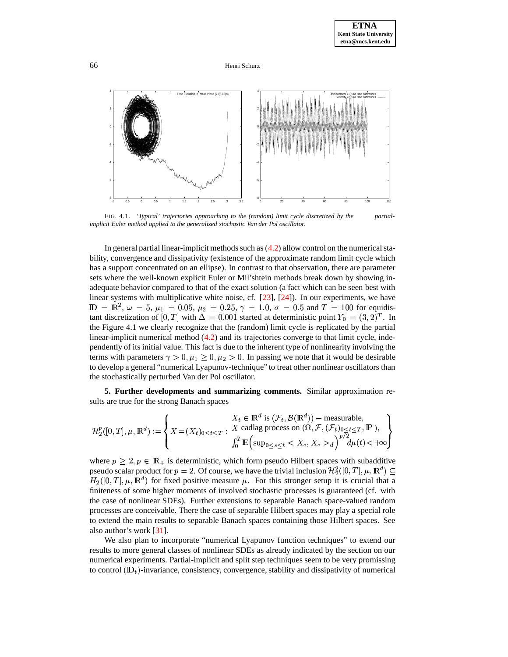

FIG. 4.1. *'Typical' trajectories approaching to the (random) limit cycle discretized by the partialimplicit Euler method applied to the generalized stochastic Van der Pol oscillator.*

In general partial linear-implicit methods such as  $(4.2)$  allow control on the numerical stability, convergence and dissipativity (existence of the approximate random limit cycle which has a support concentrated on an ellipse). In contrast to that observation, there are parameter sets where the well-known explicit Euler or Mil'shtein methods break down by showing inadequate behavior compared to that of the exact solution (a fact which can be seen best with linear systems with multiplicative white noise, cf. [\[23\]](#page-18-12), [\[24\]](#page-19-7)). In our experiments, we have  $\mathbb{D} = \mathbb{R}^2$ ,  $\omega = 5$ ,  $\mu_1 = 0.05$ ,  $\mu_2 = 0.25$ ,  $\gamma = 1.0$ ,  $\sigma = 0.5$  and  $T = 100$  for equidistant discretization of [0, T] with  $\Delta = 0.001$  started at deterministic point  $Y_0 = (3, 2)^T$ . In the Figure 4.1 we clearly recognize that the (random) limit cycle is replicated by the partial linear-implicit numerical method  $(4.2)$  and its trajectories converge to that limit cycle, independently of its initial value. This fact is due to the inherent type of nonlinearity involving the terms with parameters  $\gamma > 0$ ,  $\mu_1 \geq 0$ ,  $\mu_2 > 0$ . In passing we note that it would be desirable to develop a general "numerical Lyapunov-technique" to treat other nonlinear oscillators than the stochastically perturbed Van der Pol oscillator.

**5. Further developments and summarizing comments.** Similar approximation results are true for the strong Banach spaces

$$
\mathcal{H}_2^p([0,T],\mu,\mathbb{R}^d) := \left\{ X = (X_t)_{0 \le t \le T} : \begin{matrix} X_t \in \mathbb{R}^d \text{ is } (\mathcal{F}_t,\mathcal{B}(\mathbb{R}^d)) - \text{measurable}, \\ X \text{ cadlag process on } (\Omega,\mathcal{F},(\mathcal{F}_t)_{0 \le t \le T}, \mathbb{P}'), \\ \int_0^T \mathbb{E} \left( \sup_{0 \le s \le t} \langle X_s, X_s \rangle_d \right)^{p/2} d\mu(t) < +\infty \end{matrix} \right\}
$$

where  $p \geq 2$ ,  $p \in \mathbb{R}_+$  is deterministic, which form pseudo Hilbert spaces with subadditive pseudo scalar product for  $p = 2$ . Of course, we have the trivial inclusion  $\mathcal{H}_2^2([0,T], \mu, \mathbb{R}^d) \subseteq$  $H_2([0,T], \mu, \mathbb{R}^d)$  for fixed positive measure  $\mu$ . For this stronger setup it is crucial that a finiteness of some higher moments of involved stochastic processes is guaranteed (cf. with the case of nonlinear SDEs). Further extensions to separable Banach space-valued random processes are conceivable. There the case of separable Hilbert spaces may play a special role to extend the main results to separable Banach spaces containing those Hilbert spaces. See also author's work [\[31\]](#page-19-2).

We also plan to incorporate "numerical Lyapunov function techniques" to extend our results to more general classes of nonlinear SDEs as already indicated by the section on our numerical experiments. Partial-implicit and split step techniques seem to be very promissing to control  $(\mathbb{D}_t)$ -invariance, consistency, convergence, stability and dissipativity of numerical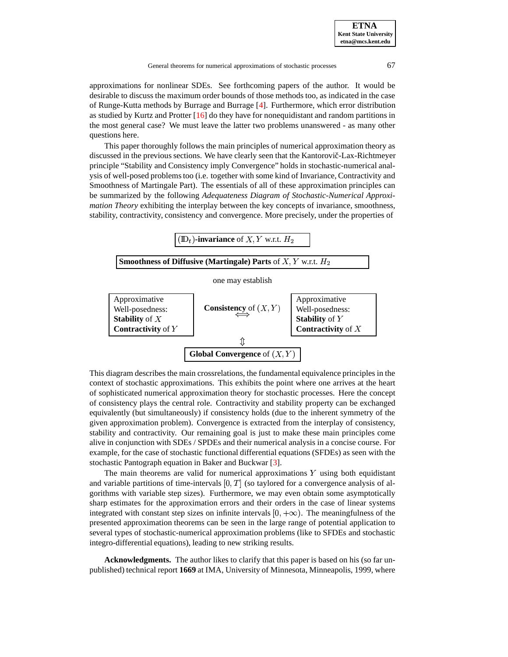approximations for nonlinear SDEs. See forthcoming papers of the author. It would be desirable to discuss the maximum order bounds of those methods too, as indicated in the case of Runge-Kutta methods by Burrage and Burrage [\[4\]](#page-18-10). Furthermore, which error distribution as studied by Kurtz and Protter [\[16\]](#page-18-13) do they have for nonequidistant and random partitions in the most general case? We must leave the latter two problems unanswered - as many other questions here.

This paper thoroughly follows the main principles of numerical approximation theory as discussed in the previous sections. We have clearly seen that the Kantorovič-Lax-Richtmeyer principle "Stability and Consistency imply Convergence" holds in stochastic-numerical analysis of well-posed problemstoo (i.e. together with some kind of Invariance, Contractivity and Smoothness of Martingale Part). The essentials of all of these approximation principles can be summarized by the following *Adequateness Diagram of Stochastic-Numerical Approximation Theory* exhibiting the interplay between the key concepts of invariance, smoothness, stability, contractivity, consistency and convergence. More precisely, under the properties of



This diagram describes the main crossrelations, the fundamental equivalence principles in the context of stochastic approximations. This exhibits the point where one arrives at the heart of sophisticated numerical approximation theory for stochastic processes. Here the concept of consistency plays the central role. Contractivity and stability property can be exchanged equivalently (but simultaneously) if consistency holds (due to the inherent symmetry of the given approximation problem). Convergence is extracted from the interplay of consistency, stability and contractivity. Our remaining goal is just to make these main principles come alive in conjunction with SDEs / SPDEs and their numerical analysis in a concise course. For example, for the case of stochastic functional differential equations (SFDEs) as seen with the stochastic Pantograph equation in Baker and Buckwar [\[3\]](#page-18-14).

The main theorems are valid for numerical approximations  $Y$  using both equidistant and variable partitions of time-intervals  $[0, T]$  (so taylored for a convergence analysis of algorithms with variable step sizes). Furthermore, we may even obtain some asymptotically sharp estimates for the approximation errors and their orders in the case of linear systems integrated with constant step sizes on infinite intervals  $[0, +\infty)$ . The meaningfulness of the presented approximation theorems can be seen in the large range of potential application to several types of stochastic-numerical approximation problems (like to SFDEs and stochastic integro-differential equations), leading to new striking results.

**Acknowledgments.** The author likes to clarify that this paper is based on his (so far unpublished) technical report **1669** at IMA, University of Minnesota, Minneapolis, 1999, where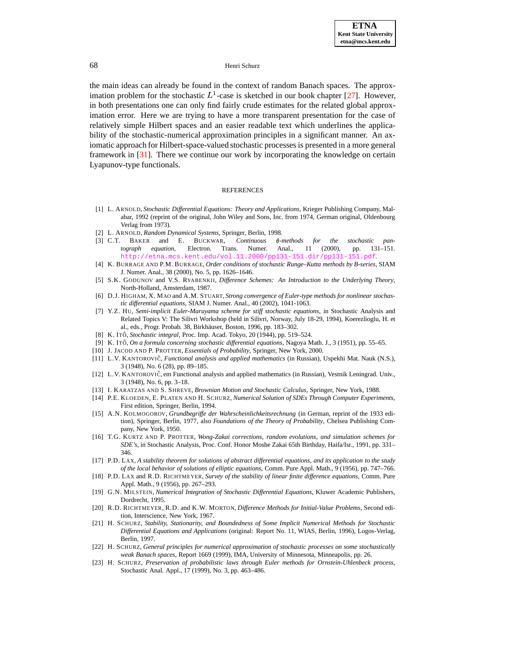the main ideas can already be found in the context of random Banach spaces. The approximation problem for the stochastic  $L^1$ -case is sketched in our book chapter [\[27\]](#page-19-4). However, in both presentations one can only find fairly crude estimates for the related global approximation error. Here we are trying to have a more transparent presentation for the case of relatively simple Hilbert spaces and an easier readable text which underlines the applicability of the stochastic-numerical approximation principles in a significant manner. An axiomatic approach for Hilbert-space-valued stochastic processes is presented in a more general framework in [\[31\]](#page-19-2). There we continue our work by incorporating the knowledge on certain Lyapunov-type functionals.

### REFERENCES

- [1] L. ARNOLD, *Stochastic Differential Equations: Theory and Applications*, Krieger Publishing Company, Malabar, 1992 (reprint of the original, John Wiley and Sons, Inc. from 1974, German original, Oldenbourg Verlag from 1973).
- 
- <span id="page-18-14"></span>[2] L. ARNOLD, *Random Dynamical Systems*, Springer, Berlin, 1998. [3] C.T. BAKER and E. BUCKWAR, *Continuous*  $\theta$ -methods for the stochastic pan*tograph equation*, Electron. Trans. Numer. Anal., 11 (2000), pp. 131–151. <http://etna.mcs.kent.edu/vol.11.2000/pp131-151.dir/pp131-151.pdf>.
- <span id="page-18-10"></span>[4] K. BURRAGE AND P.M. BURRAGE, *Order conditions of stochastic Runge–Kutta methods by B-series*, SIAM J. Numer. Anal., 38 (2000), No. 5, pp. 1626–1646.
- <span id="page-18-0"></span>[5] S.K. GODUNOV and V.S. RYABENKII, *Difference Schemes: An Introduction to the Underlying Theory*, North-Holland, Amsterdam, 1987.
- <span id="page-18-7"></span>[6] D.J. HIGHAM, X. MAO and A.M. STUART, *Strong convergence of Euler-type methods for nonlinear stochastic differential equations*, SIAM J. Numer. Anal., 40 (2002), 1041-1063.
- <span id="page-18-6"></span>[7] Y.Z. HU, *Semi-implicit Euler-Maruyama scheme for stiff stochastic equations*, in Stochastic Analysis and Related Topics V: The Silivri Workshop (held in Silivri, Norway, July 18-29, 1994), Koerezlioglu, H. et al., eds., Progr. Probab. 38, Birkhäuser, Boston, 1996, pp. 183-302.
- <span id="page-18-5"></span>[8] K. ITOˆ, *Stochastic integral*, Proc. Imp. Acad. Tokyo, 20 (1944), pp. 519–524.
- [9] K. ITOˆ, *On a formula concerning stochastic differential equations*, Nagoya Math. J., 3 (1951), pp. 55–65.
- <span id="page-18-3"></span>[10] J. JACOD AND P. PROTTER, *Essentials of Probability*, Springer, New York, 2000.
- [11] L.V. KANTOROVICˇ, *Functional analysis and applied mathematics* (in Russian), Uspekhi Mat. Nauk (N.S.), 3 (1948), No. 6 (28), pp. 89–185.
- <span id="page-18-4"></span>[12] L.V. KANTOROVIČ, em Functional analysis and applied mathematics (in Russian), Vestnik Leningrad. Univ., 3 (1948), No. 6, pp. 3–18.
- <span id="page-18-8"></span>[13] I. KARATZAS AND S. SHREVE, *Brownian Motion and Stochastic Calculus*, Springer, New York, 1988.
- [14] P.E. KLOEDEN, E. PLATEN AND H. SCHURZ, *Numerical Solution of SDEs Through Computer Experiments*, First edition, Springer, Berlin, 1994.
- [15] A.N. KOLMOGOROV, *Grundbegriffe der Wahrscheinlichkeitsrechnung* (in German, reprint of the 1933 edition), Springer, Berlin, 1977, also *Foundations of the Theory of Probability*, Chelsea Publishing Company, New York, 1950.
- <span id="page-18-13"></span>[16] T.G. KURTZ AND P. PROTTER, *Wong-Zakai corrections, random evolutions, and simulation schemes for SDE's*, in Stochastic Analysis, Proc. Conf. Honor Moshe Zakai 65th Birthday, Haifa/Isr., 1991, pp. 331– 346.
- <span id="page-18-1"></span>[17] P.D. LAX, *A stability theorem for solutions of abstract differential equations, and its application to the study of the local behavior of solutions of elliptic equations*, Comm. Pure Appl. Math., 9 (1956), pp. 747–766.
- [18] P.D. LAX and R.D. RICHTMEYER, *Survey of the stability of linear finite difference equations*, Comm. Pure Appl. Math., 9 (1956), pp. 267–293.
- <span id="page-18-9"></span>[19] G.N. MILSTEIN, *Numerical Integration of Stochastic Differential Equations*, Kluwer Academic Publishers, Dordrecht, 1995.
- <span id="page-18-2"></span>[20] R.D. RICHTMEYER, R.D. and K.W. MORTON, *Difference Methods for Initial-Value Problems*, Second edition, Interscience, New York, 1967.
- <span id="page-18-11"></span>[21] H. SCHURZ, *Stability, Stationarity, and Boundedness of Some Implicit Numerical Methods for Stochastic Differential Equations and Applications* (original: Report No. 11, WIAS, Berlin, 1996), Logos-Verlag, Berlin, 1997.
- [22] H. SCHURZ, *General principles for numerical approximation of stochastic processes on some stochastically weak Banach spaces*, Report 1669 (1999), IMA, University of Minnesota, Minneapolis, pp. 26.
- <span id="page-18-12"></span>[23] H. SCHURZ, *Preservation of probabilistic laws through Euler methods for Ornstein-Uhlenbeck process*, Stochastic Anal. Appl., 17 (1999), No. 3, pp. 463–486.